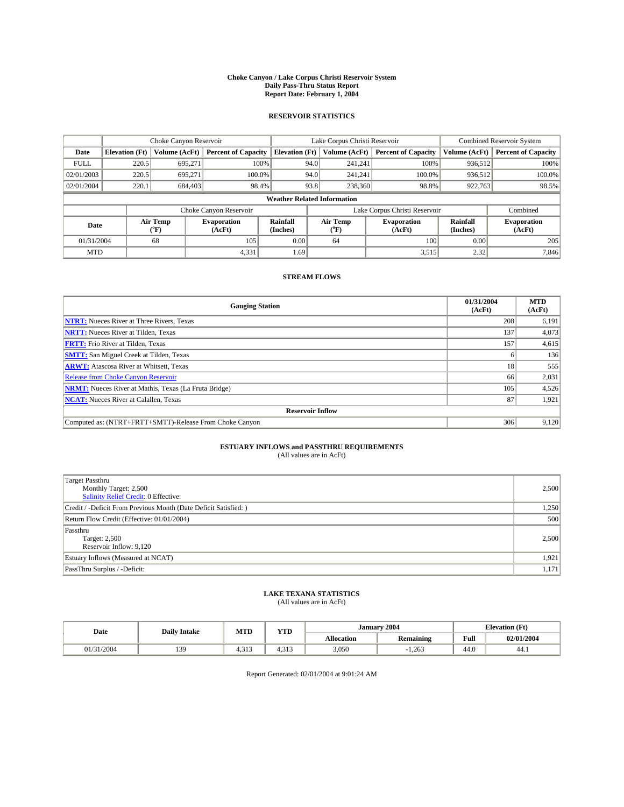### **Choke Canyon / Lake Corpus Christi Reservoir System Daily Pass-Thru Status Report Report Date: February 1, 2004**

### **RESERVOIR STATISTICS**

|             | Choke Canyon Reservoir             |                             | Lake Corpus Christi Reservoir |                             |                               |                  | <b>Combined Reservoir System</b> |                             |                              |
|-------------|------------------------------------|-----------------------------|-------------------------------|-----------------------------|-------------------------------|------------------|----------------------------------|-----------------------------|------------------------------|
| Date        | <b>Elevation</b> (Ft)              | Volume (AcFt)               | <b>Percent of Capacity</b>    | <b>Elevation</b> (Ft)       |                               | Volume (AcFt)    | <b>Percent of Capacity</b>       | Volume (AcFt)               | <b>Percent of Capacity</b>   |
| <b>FULL</b> | 220.5                              | 695,271                     |                               | 100%                        | 94.0                          | 241,241          | 100%                             | 936.512                     | 100%                         |
| 02/01/2003  | 220.5                              | 695.271                     | $100.0\%$                     |                             | 94.0                          | 241.241          | $100.0\%$                        | 936.512                     | 100.0%                       |
| 02/01/2004  | 220.1                              | 684,403                     |                               | 98.4%                       | 93.8                          | 238,360          | 98.8%                            | 922,763                     | 98.5%                        |
|             | <b>Weather Related Information</b> |                             |                               |                             |                               |                  |                                  |                             |                              |
|             |                                    |                             | Choke Canyon Reservoir        |                             | Lake Corpus Christi Reservoir |                  |                                  |                             | Combined                     |
| Date        |                                    | Air Temp<br>${}^{\circ}$ F) | <b>Evaporation</b><br>(AcFt)  | <b>Rainfall</b><br>(Inches) |                               | Air Temp<br>("F) | <b>Evaporation</b><br>(AcFt)     | <b>Rainfall</b><br>(Inches) | <b>Evaporation</b><br>(AcFt) |
| 01/31/2004  |                                    | 68                          | 105                           | 0.00                        |                               | 64               | 100                              | 0.00                        | 205                          |
| <b>MTD</b>  |                                    |                             | 4,331                         | 1.69                        |                               |                  | 3,515                            | 2.32                        | 7,846                        |

## **STREAM FLOWS**

| <b>Gauging Station</b>                                       | 01/31/2004<br>(AcFt) | <b>MTD</b><br>(AcFt) |  |  |  |  |
|--------------------------------------------------------------|----------------------|----------------------|--|--|--|--|
| <b>NTRT:</b> Nueces River at Three Rivers, Texas             | 208                  | 6,191                |  |  |  |  |
| <b>NRTT:</b> Nueces River at Tilden, Texas                   | 137                  | 4,073                |  |  |  |  |
| <b>FRTT:</b> Frio River at Tilden, Texas                     | 157                  | 4,615                |  |  |  |  |
| <b>SMTT:</b> San Miguel Creek at Tilden, Texas               |                      | 136                  |  |  |  |  |
| <b>ARWT:</b> Atascosa River at Whitsett, Texas               | 18                   | 555                  |  |  |  |  |
| <b>Release from Choke Canyon Reservoir</b>                   | 66                   | 2,031                |  |  |  |  |
| <b>NRMT:</b> Nueces River at Mathis, Texas (La Fruta Bridge) | 105                  | 4,526                |  |  |  |  |
| <b>NCAT:</b> Nueces River at Calallen, Texas                 | 87                   | 1,921                |  |  |  |  |
| <b>Reservoir Inflow</b>                                      |                      |                      |  |  |  |  |
| Computed as: (NTRT+FRTT+SMTT)-Release From Choke Canyon      | 306                  | 9,120                |  |  |  |  |

# **ESTUARY INFLOWS and PASSTHRU REQUIREMENTS**<br>(All values are in AcFt)

| <b>Target Passthru</b><br>Monthly Target: 2,500<br>Salinity Relief Credit: 0 Effective: | 2,500 |
|-----------------------------------------------------------------------------------------|-------|
| Credit / -Deficit From Previous Month (Date Deficit Satisfied: )                        | 1,250 |
| Return Flow Credit (Effective: 01/01/2004)                                              | 500   |
| Passthru<br>Target: 2,500<br>Reservoir Inflow: 9,120                                    | 2,500 |
| Estuary Inflows (Measured at NCAT)                                                      | 1,921 |
| PassThru Surplus / -Deficit:                                                            | 1,171 |

# **LAKE TEXANA STATISTICS** (All values are in AcFt)

| (All values are in ACFI) |  |  |
|--------------------------|--|--|
|                          |  |  |

| Date  | <b>Daily Intake</b> | MTD               | <b>YTD</b>    | 2004<br>January |                  |            | <b>Elevation</b> (Ft) |
|-------|---------------------|-------------------|---------------|-----------------|------------------|------------|-----------------------|
|       |                     |                   |               | Allocation      | <b>Remaining</b> | T.<br>Full | 02/01/2004            |
| '2004 | 20<br>13,           | 212<br>-4<br>T.J. | 212<br>سدريته | 3,050           | 1,263            | 44.0       | 44.1                  |

Report Generated: 02/01/2004 at 9:01:24 AM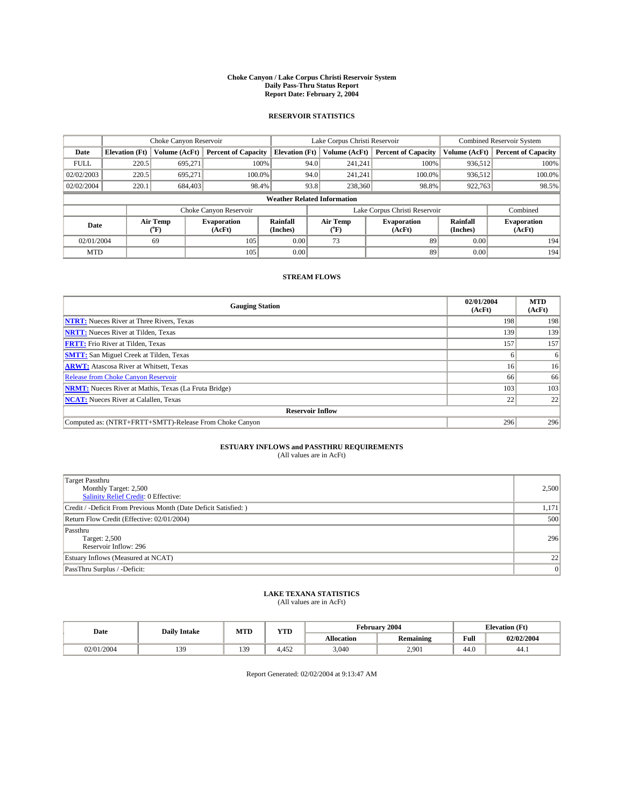### **Choke Canyon / Lake Corpus Christi Reservoir System Daily Pass-Thru Status Report Report Date: February 2, 2004**

### **RESERVOIR STATISTICS**

|             |                       | Choke Canyon Reservoir |                              |                             | Lake Corpus Christi Reservoir      |                               | <b>Combined Reservoir System</b> |                              |
|-------------|-----------------------|------------------------|------------------------------|-----------------------------|------------------------------------|-------------------------------|----------------------------------|------------------------------|
| Date        | <b>Elevation</b> (Ft) | Volume (AcFt)          | <b>Percent of Capacity</b>   | <b>Elevation</b> (Ft)       | Volume (AcFt)                      | <b>Percent of Capacity</b>    | Volume (AcFt)                    | <b>Percent of Capacity</b>   |
| <b>FULL</b> | 220.5                 | 695,271                | 100%                         |                             | 94.0<br>241,241                    | 100%                          | 936,512                          | 100%                         |
| 02/02/2003  | 220.5                 | 695,271                | 100.0%                       |                             | 94.0<br>241.241                    | 100.0%                        | 936,512                          | 100.0%                       |
| 02/02/2004  | 220.1                 | 684,403                | 98.4%                        |                             | 238,360<br>93.8                    | 98.8%                         | 922,763                          | 98.5%                        |
|             |                       |                        |                              |                             | <b>Weather Related Information</b> |                               |                                  |                              |
|             |                       |                        | Choke Canyon Reservoir       |                             |                                    | Lake Corpus Christi Reservoir |                                  | Combined                     |
| Date        |                       | Air Temp<br>(°F)       | <b>Evaporation</b><br>(AcFt) | <b>Rainfall</b><br>(Inches) | Air Temp<br>("F                    | <b>Evaporation</b><br>(AcFt)  | <b>Rainfall</b><br>(Inches)      | <b>Evaporation</b><br>(AcFt) |
| 02/01/2004  |                       | 69                     | 105                          | 0.00                        | 73                                 | 89                            | 0.00                             | 194                          |
| <b>MTD</b>  |                       |                        | 105                          | 0.00                        |                                    | 89                            | 0.00                             | 194                          |

## **STREAM FLOWS**

| <b>Gauging Station</b>                                       | 02/01/2004<br>(AcFt) | <b>MTD</b><br>(AcFt) |  |  |  |  |  |
|--------------------------------------------------------------|----------------------|----------------------|--|--|--|--|--|
| <b>NTRT:</b> Nueces River at Three Rivers, Texas             | 198                  | 198                  |  |  |  |  |  |
| <b>NRTT:</b> Nueces River at Tilden, Texas                   | 139                  | 139                  |  |  |  |  |  |
| <b>FRTT:</b> Frio River at Tilden, Texas                     | 157                  | 157                  |  |  |  |  |  |
| <b>SMTT:</b> San Miguel Creek at Tilden, Texas               |                      |                      |  |  |  |  |  |
| <b>ARWT:</b> Atascosa River at Whitsett, Texas               | 16                   | 16 <sup>1</sup>      |  |  |  |  |  |
| <b>Release from Choke Canyon Reservoir</b>                   | 66                   | 66                   |  |  |  |  |  |
| <b>NRMT:</b> Nueces River at Mathis, Texas (La Fruta Bridge) | 103                  | 103                  |  |  |  |  |  |
| <b>NCAT:</b> Nueces River at Calallen, Texas                 | 22                   | 22                   |  |  |  |  |  |
| <b>Reservoir Inflow</b>                                      |                      |                      |  |  |  |  |  |
| Computed as: (NTRT+FRTT+SMTT)-Release From Choke Canyon      | 296                  | 296                  |  |  |  |  |  |

# **ESTUARY INFLOWS and PASSTHRU REQUIREMENTS**<br>(All values are in AcFt)

| <b>Target Passthru</b><br>Monthly Target: 2,500<br>Salinity Relief Credit: 0 Effective: | 2,500 |
|-----------------------------------------------------------------------------------------|-------|
| Credit / -Deficit From Previous Month (Date Deficit Satisfied: )                        | 1,171 |
| Return Flow Credit (Effective: 02/01/2004)                                              | 500   |
| Passthru<br>Target: 2,500<br>Reservoir Inflow: 296                                      | 296   |
| Estuary Inflows (Measured at NCAT)                                                      | 22    |
| PassThru Surplus / -Deficit:                                                            | 0     |

# **LAKE TEXANA STATISTICS** (All values are in AcFt)

| Date   | <b>Daily Intake</b> | <b>MTD</b> | <b>TIME</b><br>1 I D |                                | February 2004 | <b>Elevation</b> (Ft) |            |
|--------|---------------------|------------|----------------------|--------------------------------|---------------|-----------------------|------------|
|        |                     |            |                      | <b>Allocation</b><br>Remaining |               | Full                  | 02/02/2004 |
| 1/2004 | 139                 | 139        | 4,452                | 3,040                          | 2,901         | 44 O<br>44.U          | 44.1       |

Report Generated: 02/02/2004 at 9:13:47 AM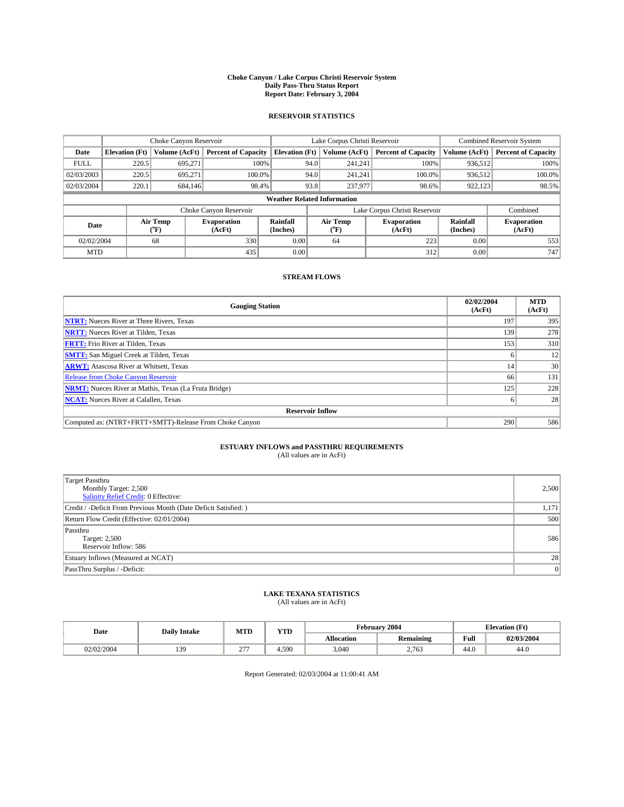### **Choke Canyon / Lake Corpus Christi Reservoir System Daily Pass-Thru Status Report Report Date: February 3, 2004**

### **RESERVOIR STATISTICS**

|             |                                    |                  | Lake Corpus Christi Reservoir |                             |      |                  | <b>Combined Reservoir System</b> |                      |                              |
|-------------|------------------------------------|------------------|-------------------------------|-----------------------------|------|------------------|----------------------------------|----------------------|------------------------------|
| Date        | <b>Elevation</b> (Ft)              | Volume (AcFt)    | <b>Percent of Capacity</b>    | <b>Elevation (Ft)</b>       |      | Volume (AcFt)    | <b>Percent of Capacity</b>       | Volume (AcFt)        | <b>Percent of Capacity</b>   |
| <b>FULL</b> | 220.5                              | 695,271          | 100%                          |                             | 94.0 | 241,241          | 100%                             | 936.512              | 100%                         |
| 02/03/2003  | 220.5                              | 695.271          | $100.0\%$                     |                             | 94.0 | 241.241          | $100.0\%$                        | 936,512              | 100.0%                       |
| 02/03/2004  | 220.1                              | 684,146          | 98.4%                         |                             | 93.8 | 237,977          | 98.6%                            | 922,123              | 98.5%                        |
|             | <b>Weather Related Information</b> |                  |                               |                             |      |                  |                                  |                      |                              |
|             |                                    |                  | Choke Canyon Reservoir        |                             |      |                  | Lake Corpus Christi Reservoir    |                      | Combined                     |
| Date        |                                    | Air Temp<br>(°F) | <b>Evaporation</b><br>(AcFt)  | <b>Rainfall</b><br>(Inches) |      | Air Temp<br>("F) | <b>Evaporation</b><br>(AcFt)     | Rainfall<br>(Inches) | <b>Evaporation</b><br>(AcFt) |
| 02/02/2004  |                                    | 68               | 330                           | 0.00                        |      | 64               | 223                              | 0.00                 | 553                          |
| <b>MTD</b>  |                                    |                  | 435                           | 0.00                        |      |                  | 312                              | 0.00                 | 747                          |

## **STREAM FLOWS**

| <b>Gauging Station</b>                                       | 02/02/2004<br>(AcFt) | <b>MTD</b><br>(AcFt) |  |  |  |  |  |
|--------------------------------------------------------------|----------------------|----------------------|--|--|--|--|--|
| <b>NTRT:</b> Nueces River at Three Rivers, Texas             | 197                  | 395                  |  |  |  |  |  |
| <b>NRTT:</b> Nueces River at Tilden, Texas                   | 139                  | 278                  |  |  |  |  |  |
| <b>FRTT:</b> Frio River at Tilden, Texas                     | 153                  | 310                  |  |  |  |  |  |
| <b>SMTT:</b> San Miguel Creek at Tilden, Texas               | n                    | 12                   |  |  |  |  |  |
| <b>ARWT:</b> Atascosa River at Whitsett, Texas               | 14                   | 30                   |  |  |  |  |  |
| <b>Release from Choke Canyon Reservoir</b>                   | 66                   | 131                  |  |  |  |  |  |
| <b>NRMT:</b> Nueces River at Mathis, Texas (La Fruta Bridge) | 125                  | 228                  |  |  |  |  |  |
| <b>NCAT:</b> Nueces River at Calallen, Texas                 | n                    | 28                   |  |  |  |  |  |
| <b>Reservoir Inflow</b>                                      |                      |                      |  |  |  |  |  |
| Computed as: (NTRT+FRTT+SMTT)-Release From Choke Canyon      | 290                  | 586                  |  |  |  |  |  |

# **ESTUARY INFLOWS and PASSTHRU REQUIREMENTS**<br>(All values are in AcFt)

| <b>Target Passthru</b><br>Monthly Target: 2,500<br>Salinity Relief Credit: 0 Effective: | 2,500 |
|-----------------------------------------------------------------------------------------|-------|
| Credit / -Deficit From Previous Month (Date Deficit Satisfied: )                        | 1,171 |
| Return Flow Credit (Effective: 02/01/2004)                                              | 500   |
| Passthru<br>Target: 2,500<br>Reservoir Inflow: 586                                      | 586   |
| Estuary Inflows (Measured at NCAT)                                                      | 28    |
| PassThru Surplus / -Deficit:                                                            | 0     |

# **LAKE TEXANA STATISTICS** (All values are in AcFt)

| Date  | <b>Daily Intake</b> | <b>MTD</b>                                                 | T/TD<br>1 I D | February          | 2004      | <b>Elevation (Ft)</b>  |            |
|-------|---------------------|------------------------------------------------------------|---------------|-------------------|-----------|------------------------|------------|
|       |                     |                                                            |               | <b>Allocation</b> | Remaining | Full                   | 02/03/2004 |
| /2004 | 139                 | $\sim$ $\sim$ $\sim$<br><u>.</u><br>and the control of the | 4.590         | 3,040             | 2,763     | $\overline{a}$<br>44.U | 44.0       |

Report Generated: 02/03/2004 at 11:00:41 AM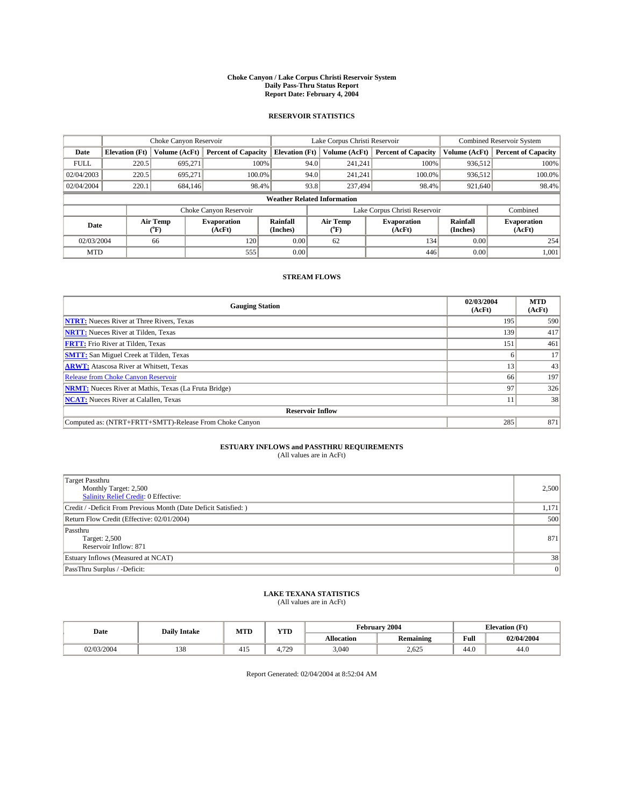### **Choke Canyon / Lake Corpus Christi Reservoir System Daily Pass-Thru Status Report Report Date: February 4, 2004**

### **RESERVOIR STATISTICS**

|             |                                    |                  | Lake Corpus Christi Reservoir |                             |      |                               | <b>Combined Reservoir System</b> |                      |                              |  |
|-------------|------------------------------------|------------------|-------------------------------|-----------------------------|------|-------------------------------|----------------------------------|----------------------|------------------------------|--|
| Date        | <b>Elevation</b> (Ft)              | Volume (AcFt)    | <b>Percent of Capacity</b>    | <b>Elevation (Ft)</b>       |      | Volume (AcFt)                 | <b>Percent of Capacity</b>       | Volume (AcFt)        | <b>Percent of Capacity</b>   |  |
| <b>FULL</b> | 220.5                              | 695,271          | 100%                          |                             | 94.0 | 241,241                       | 100%                             | 936.512              | 100%                         |  |
| 02/04/2003  | 220.5                              | 695.271          | $100.0\%$                     |                             | 94.0 | 241.241                       | $100.0\%$                        | 936.512              | 100.0%                       |  |
| 02/04/2004  | 220.1                              | 684,146          | 98.4%                         |                             | 93.8 | 237,494                       | 98.4%                            | 921,640              | 98.4%                        |  |
|             | <b>Weather Related Information</b> |                  |                               |                             |      |                               |                                  |                      |                              |  |
|             |                                    |                  | Choke Canyon Reservoir        |                             |      | Lake Corpus Christi Reservoir |                                  |                      | Combined                     |  |
| Date        |                                    | Air Temp<br>(°F) | <b>Evaporation</b><br>(AcFt)  | <b>Rainfall</b><br>(Inches) |      | Air Temp<br>("F)              | <b>Evaporation</b><br>(AcFt)     | Rainfall<br>(Inches) | <b>Evaporation</b><br>(AcFt) |  |
| 02/03/2004  |                                    | 66               | 120                           | 0.00                        |      | 62                            | 134                              | 0.00                 | 254                          |  |
| <b>MTD</b>  |                                    |                  | 555                           | 0.00                        |      |                               | 446                              | 0.00                 | 1,001                        |  |

## **STREAM FLOWS**

| <b>Gauging Station</b>                                       | 02/03/2004<br>(AcFt) | <b>MTD</b><br>(AcFt) |
|--------------------------------------------------------------|----------------------|----------------------|
| <b>NTRT:</b> Nueces River at Three Rivers, Texas             | 195                  | 590                  |
| <b>NRTT:</b> Nueces River at Tilden, Texas                   | 139                  | 417                  |
| <b>FRTT:</b> Frio River at Tilden, Texas                     | 151                  | 461                  |
| <b>SMTT:</b> San Miguel Creek at Tilden, Texas               |                      | 17                   |
| <b>ARWT:</b> Atascosa River at Whitsett, Texas               | 13                   | 43                   |
| Release from Choke Canyon Reservoir                          | 66                   | 197                  |
| <b>NRMT:</b> Nueces River at Mathis, Texas (La Fruta Bridge) | 97                   | 326                  |
| <b>NCAT:</b> Nueces River at Calallen, Texas                 |                      | 38                   |
| <b>Reservoir Inflow</b>                                      |                      |                      |
| Computed as: (NTRT+FRTT+SMTT)-Release From Choke Canyon      | 285                  | 871                  |

# **ESTUARY INFLOWS and PASSTHRU REQUIREMENTS**<br>(All values are in AcFt)

| <b>Target Passthru</b><br>Monthly Target: 2,500<br>Salinity Relief Credit: 0 Effective: | 2,500 |
|-----------------------------------------------------------------------------------------|-------|
| Credit / -Deficit From Previous Month (Date Deficit Satisfied: )                        | 1,171 |
| Return Flow Credit (Effective: 02/01/2004)                                              | 500   |
| Passthru<br>Target: 2,500<br>Reservoir Inflow: 871                                      | 871   |
| Estuary Inflows (Measured at NCAT)                                                      | 38    |
| PassThru Surplus / -Deficit:                                                            | 0     |

# **LAKE TEXANA STATISTICS** (All values are in AcFt)

| Date      | <b>Daily Intake</b> | MTL           | $\mathbf{v}$<br>1 I D |                   | <b>February 2004</b> | <b>Elevation</b> (Ft)   |            |
|-----------|---------------------|---------------|-----------------------|-------------------|----------------------|-------------------------|------------|
|           |                     |               |                       | <b>Allocation</b> | <b>Remaining</b>     | Full                    | 02/04/2004 |
| 2/03/2004 | າລດ<br>158          | $\sim$<br>41. | 720                   | 3,040             | 2,625                | $\overline{AB}$<br>44.U | 44.0       |

Report Generated: 02/04/2004 at 8:52:04 AM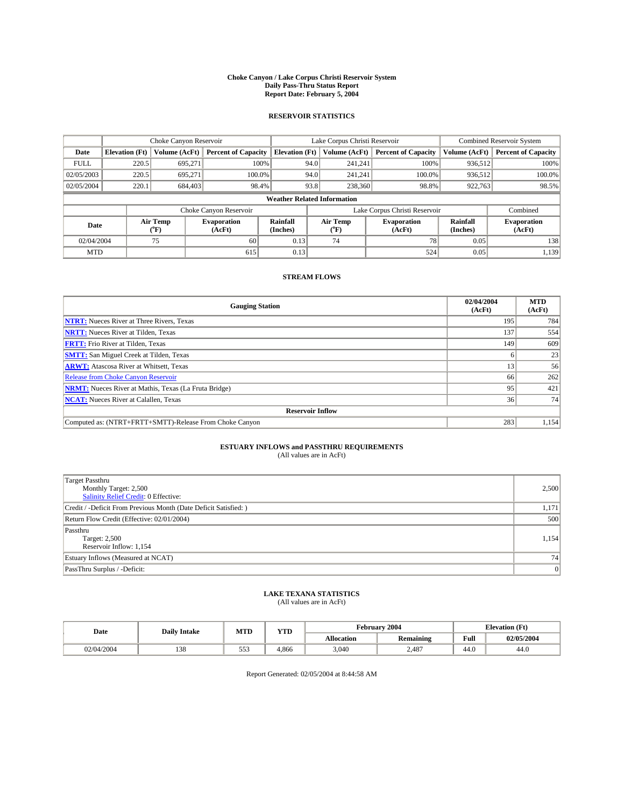### **Choke Canyon / Lake Corpus Christi Reservoir System Daily Pass-Thru Status Report Report Date: February 5, 2004**

### **RESERVOIR STATISTICS**

|             | Choke Canyon Reservoir             |                             | Lake Corpus Christi Reservoir |                             |                               |                  | <b>Combined Reservoir System</b> |                      |                              |  |
|-------------|------------------------------------|-----------------------------|-------------------------------|-----------------------------|-------------------------------|------------------|----------------------------------|----------------------|------------------------------|--|
| Date        | <b>Elevation</b> (Ft)              | Volume (AcFt)               | <b>Percent of Capacity</b>    | <b>Elevation</b> (Ft)       |                               | Volume (AcFt)    | <b>Percent of Capacity</b>       | Volume (AcFt)        | <b>Percent of Capacity</b>   |  |
| <b>FULL</b> | 220.5                              | 695,271                     |                               | 100%                        | 94.0                          | 241,241          | 100%                             | 936.512              | 100%                         |  |
| 02/05/2003  | 220.5                              | 695.271                     | $100.0\%$                     |                             | 94.0                          | 241.241          | $100.0\%$                        | 936.512              | 100.0%                       |  |
| 02/05/2004  | 220.1                              | 684,403                     | 98.4%                         |                             | 93.8                          | 238,360          | 98.8%                            | 922,763              | 98.5%                        |  |
|             | <b>Weather Related Information</b> |                             |                               |                             |                               |                  |                                  |                      |                              |  |
|             |                                    |                             | Choke Canyon Reservoir        |                             | Lake Corpus Christi Reservoir |                  |                                  |                      | Combined                     |  |
| Date        |                                    | Air Temp<br>${}^{\circ}$ F) | <b>Evaporation</b><br>(AcFt)  | <b>Rainfall</b><br>(Inches) |                               | Air Temp<br>("F) | <b>Evaporation</b><br>(AcFt)     | Rainfall<br>(Inches) | <b>Evaporation</b><br>(AcFt) |  |
| 02/04/2004  |                                    | 75                          | 60                            | 0.13                        |                               | 74               | 78                               | 0.05                 | 138                          |  |
| <b>MTD</b>  |                                    |                             | 615                           | 0.13                        |                               |                  | 524                              | 0.05                 | 1,139                        |  |

## **STREAM FLOWS**

| <b>Gauging Station</b>                                       | 02/04/2004<br>(AcFt) | <b>MTD</b><br>(AcFt) |
|--------------------------------------------------------------|----------------------|----------------------|
| <b>NTRT:</b> Nueces River at Three Rivers, Texas             | 195                  | 784                  |
| <b>NRTT:</b> Nueces River at Tilden, Texas                   | 137                  | 554                  |
| <b>FRTT:</b> Frio River at Tilden, Texas                     | 149                  | 609                  |
| <b>SMTT:</b> San Miguel Creek at Tilden, Texas               |                      | 23                   |
| <b>ARWT:</b> Atascosa River at Whitsett, Texas               | 13                   | 56                   |
| <b>Release from Choke Canyon Reservoir</b>                   | 66                   | 262                  |
| <b>NRMT:</b> Nueces River at Mathis, Texas (La Fruta Bridge) | 95                   | 421                  |
| <b>NCAT:</b> Nueces River at Calallen, Texas                 | 36                   | 74                   |
| <b>Reservoir Inflow</b>                                      |                      |                      |
| Computed as: (NTRT+FRTT+SMTT)-Release From Choke Canyon      | 283                  | 1,154                |

# **ESTUARY INFLOWS and PASSTHRU REQUIREMENTS**<br>(All values are in AcFt)

| <b>Target Passthru</b><br>Monthly Target: 2,500<br>Salinity Relief Credit: 0 Effective: | 2,500 |
|-----------------------------------------------------------------------------------------|-------|
| Credit / -Deficit From Previous Month (Date Deficit Satisfied: )                        | 1,171 |
| Return Flow Credit (Effective: 02/01/2004)                                              | 500   |
| Passthru<br>Target: 2,500<br>Reservoir Inflow: 1,154                                    | 1,154 |
| Estuary Inflows (Measured at NCAT)                                                      | 74    |
| PassThru Surplus / -Deficit:                                                            | 0     |

# **LAKE TEXANA STATISTICS** (All values are in AcFt)

| Date       | <b>Daily Intake</b> | MTD | YTD   |                   | <b>February 2004</b> | <b>Elevation</b> (Ft) |            |  |
|------------|---------------------|-----|-------|-------------------|----------------------|-----------------------|------------|--|
|            |                     |     |       | <b>Allocation</b> | <b>Remaining</b>     | Full                  | 02/05/2004 |  |
| 02/04/2004 | $1 \cap C$<br>190   | 553 | 4,866 | 3,040             | 2,487                | 44.0                  | 44.0       |  |

Report Generated: 02/05/2004 at 8:44:58 AM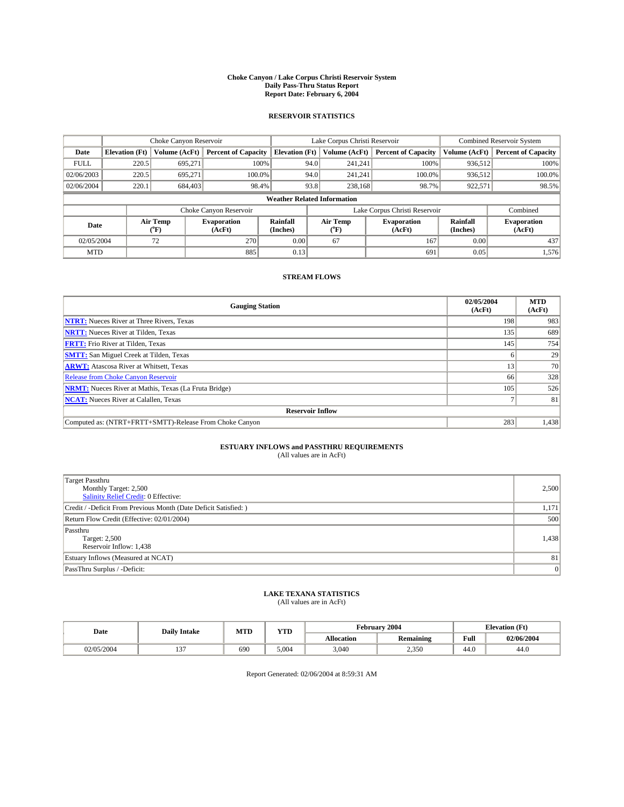### **Choke Canyon / Lake Corpus Christi Reservoir System Daily Pass-Thru Status Report Report Date: February 6, 2004**

### **RESERVOIR STATISTICS**

|             |                                    |                  | Lake Corpus Christi Reservoir |                       |                               |                  | <b>Combined Reservoir System</b> |                      |                              |  |
|-------------|------------------------------------|------------------|-------------------------------|-----------------------|-------------------------------|------------------|----------------------------------|----------------------|------------------------------|--|
| Date        | <b>Elevation</b> (Ft)              | Volume (AcFt)    | <b>Percent of Capacity</b>    | <b>Elevation (Ft)</b> |                               | Volume (AcFt)    | <b>Percent of Capacity</b>       | Volume (AcFt)        | <b>Percent of Capacity</b>   |  |
| <b>FULL</b> | 220.5                              | 695,271          |                               | 100%                  | 94.0                          | 241,241          | 100%                             | 936.512              | 100%                         |  |
| 02/06/2003  | 220.5                              | 695.271          | $100.0\%$                     |                       | 94.0                          | 241.241          | $100.0\%$                        | 936.512              | 100.0%                       |  |
| 02/06/2004  | 220.1                              | 684,403          | 98.4%                         |                       | 93.8                          | 238,168          | 98.7%                            | 922,571              | 98.5%                        |  |
|             | <b>Weather Related Information</b> |                  |                               |                       |                               |                  |                                  |                      |                              |  |
|             |                                    |                  | Choke Canyon Reservoir        |                       | Lake Corpus Christi Reservoir |                  |                                  |                      | Combined                     |  |
| Date        |                                    | Air Temp<br>(°F) | <b>Evaporation</b><br>(AcFt)  | Rainfall<br>(Inches)  |                               | Air Temp<br>("F) | <b>Evaporation</b><br>(AcFt)     | Rainfall<br>(Inches) | <b>Evaporation</b><br>(AcFt) |  |
| 02/05/2004  |                                    | 72               | 270                           | 0.00                  |                               | 67               | 167                              | 0.00                 | 437                          |  |
| <b>MTD</b>  |                                    |                  | 885                           | 0.13                  |                               |                  | 691                              | 0.05                 | 1,576                        |  |

## **STREAM FLOWS**

| <b>Gauging Station</b>                                       | 02/05/2004<br>(AcFt) | <b>MTD</b><br>(AcFt) |
|--------------------------------------------------------------|----------------------|----------------------|
| <b>NTRT:</b> Nueces River at Three Rivers, Texas             | 198                  | 983                  |
| <b>NRTT:</b> Nueces River at Tilden, Texas                   | 135                  | 689                  |
| <b>FRTT:</b> Frio River at Tilden, Texas                     | 145                  | 754                  |
| <b>SMTT:</b> San Miguel Creek at Tilden, Texas               |                      | 29                   |
| <b>ARWT:</b> Atascosa River at Whitsett, Texas               | 13 <sup>1</sup>      | 70                   |
| <b>Release from Choke Canyon Reservoir</b>                   | 66                   | 328                  |
| <b>NRMT:</b> Nueces River at Mathis, Texas (La Fruta Bridge) | 105                  | 526                  |
| <b>NCAT:</b> Nueces River at Calallen, Texas                 |                      | 81                   |
| <b>Reservoir Inflow</b>                                      |                      |                      |
| Computed as: (NTRT+FRTT+SMTT)-Release From Choke Canyon      | 283                  | 1,438                |

# **ESTUARY INFLOWS and PASSTHRU REQUIREMENTS**<br>(All values are in AcFt)

| <b>Target Passthru</b><br>Monthly Target: 2,500<br>Salinity Relief Credit: 0 Effective: | 2,500 |
|-----------------------------------------------------------------------------------------|-------|
| Credit / -Deficit From Previous Month (Date Deficit Satisfied: )                        | 1,171 |
| Return Flow Credit (Effective: 02/01/2004)                                              | 500   |
| Passthru<br>Target: 2,500<br>Reservoir Inflow: 1,438                                    | 1,438 |
| Estuary Inflows (Measured at NCAT)                                                      | 81    |
| PassThru Surplus / -Deficit:                                                            | 0     |

# **LAKE TEXANA STATISTICS** (All values are in AcFt)

| Date      | <b>Daily Intake</b>      | <b>MTD</b> | <b>TIMP</b><br>1 I D |                   | February 2004    | <b>Elevation</b> (Ft)   |            |
|-----------|--------------------------|------------|----------------------|-------------------|------------------|-------------------------|------------|
|           |                          |            |                      | <b>Allocation</b> | <b>Remaining</b> | Full                    | 02/06/2004 |
| 2/05/2004 | $-2 -$<br>$\overline{ }$ | 690        | 5.004                | 3,040             | 2,350            | $\overline{AB}$<br>44.U | 44.0       |

Report Generated: 02/06/2004 at 8:59:31 AM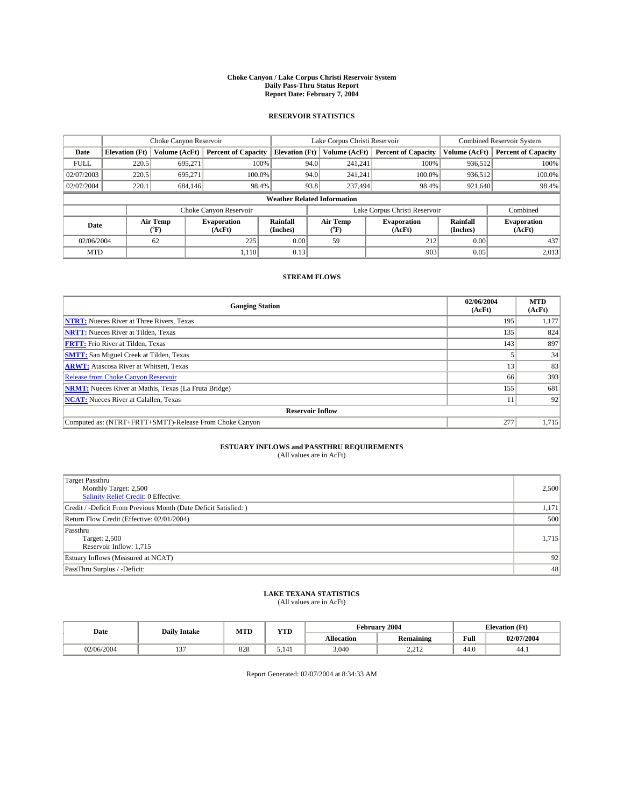### **Choke Canyon / Lake Corpus Christi Reservoir System Daily Pass-Thru Status Report Report Date: February 7, 2004**

### **RESERVOIR STATISTICS**

|             |                                    |                  | Lake Corpus Christi Reservoir |                       |                               |                  | <b>Combined Reservoir System</b> |                      |                              |  |
|-------------|------------------------------------|------------------|-------------------------------|-----------------------|-------------------------------|------------------|----------------------------------|----------------------|------------------------------|--|
| Date        | <b>Elevation</b> (Ft)              | Volume (AcFt)    | <b>Percent of Capacity</b>    | <b>Elevation (Ft)</b> |                               | Volume (AcFt)    | <b>Percent of Capacity</b>       | Volume (AcFt)        | <b>Percent of Capacity</b>   |  |
| <b>FULL</b> | 220.5                              | 695,271          |                               | 100%                  | 94.0                          | 241,241          | 100%                             | 936.512              | 100%                         |  |
| 02/07/2003  | 220.5                              | 695.271          | $100.0\%$                     |                       | 94.0                          | 241.241          | $100.0\%$                        | 936.512              | 100.0%                       |  |
| 02/07/2004  | 220.1                              | 684,146          | 98.4%                         |                       | 93.8                          | 237,494          | 98.4%                            | 921,640              | 98.4%                        |  |
|             | <b>Weather Related Information</b> |                  |                               |                       |                               |                  |                                  |                      |                              |  |
|             |                                    |                  | Choke Canyon Reservoir        |                       | Lake Corpus Christi Reservoir |                  |                                  | Combined             |                              |  |
| Date        |                                    | Air Temp<br>(°F) | <b>Evaporation</b><br>(AcFt)  | Rainfall<br>(Inches)  |                               | Air Temp<br>("F) | <b>Evaporation</b><br>(AcFt)     | Rainfall<br>(Inches) | <b>Evaporation</b><br>(AcFt) |  |
| 02/06/2004  |                                    | 62               | 225                           | 0.00                  |                               | 59               | 212                              | 0.00                 | 437                          |  |
| <b>MTD</b>  |                                    |                  | 1,110                         | 0.13                  |                               |                  | 903                              | 0.05                 | 2,013                        |  |

## **STREAM FLOWS**

| <b>Gauging Station</b>                                       | 02/06/2004<br>(AcFt) | <b>MTD</b><br>(AcFt) |
|--------------------------------------------------------------|----------------------|----------------------|
| <b>NTRT:</b> Nueces River at Three Rivers, Texas             | 195                  | 1,177                |
| <b>NRTT:</b> Nueces River at Tilden, Texas                   | 135                  | 824                  |
| <b>FRTT:</b> Frio River at Tilden, Texas                     | 143                  | 897                  |
| <b>SMTT:</b> San Miguel Creek at Tilden, Texas               |                      | 34                   |
| <b>ARWT:</b> Atascosa River at Whitsett, Texas               | 13 <sup>1</sup>      | 83                   |
| <b>Release from Choke Canyon Reservoir</b>                   | 66                   | 393                  |
| <b>NRMT:</b> Nueces River at Mathis, Texas (La Fruta Bridge) | 155                  | 681                  |
| <b>NCAT:</b> Nueces River at Calallen, Texas                 |                      | 92                   |
| <b>Reservoir Inflow</b>                                      |                      |                      |
| Computed as: (NTRT+FRTT+SMTT)-Release From Choke Canyon      | 277                  | 1,715                |

# **ESTUARY INFLOWS and PASSTHRU REQUIREMENTS**<br>(All values are in AcFt)

| <b>Target Passthru</b><br>Monthly Target: 2,500<br>Salinity Relief Credit: 0 Effective: | 2,500 |
|-----------------------------------------------------------------------------------------|-------|
| Credit / -Deficit From Previous Month (Date Deficit Satisfied: )                        | 1,171 |
| Return Flow Credit (Effective: 02/01/2004)                                              | 500   |
| Passthru<br>Target: 2,500<br>Reservoir Inflow: 1,715                                    | 1,715 |
| Estuary Inflows (Measured at NCAT)                                                      | 92    |
| PassThru Surplus / -Deficit:                                                            | 48    |

# **LAKE TEXANA STATISTICS** (All values are in AcFt)

| Date       | <b>Daily Intake</b> | MTD | YTD                     |                   | <b>February 2004</b> | <b>Elevation</b> (Ft) |            |
|------------|---------------------|-----|-------------------------|-------------------|----------------------|-----------------------|------------|
|            |                     |     |                         | <b>Allocation</b> | <b>Remaining</b>     | Full                  | 02/07/2004 |
| 22/06/2004 | $\sim$              | 828 | $\overline{A}$<br>5.141 | 3,040             | 2.212<br>,,,,,,      | 44.0                  | 44.1       |

Report Generated: 02/07/2004 at 8:34:33 AM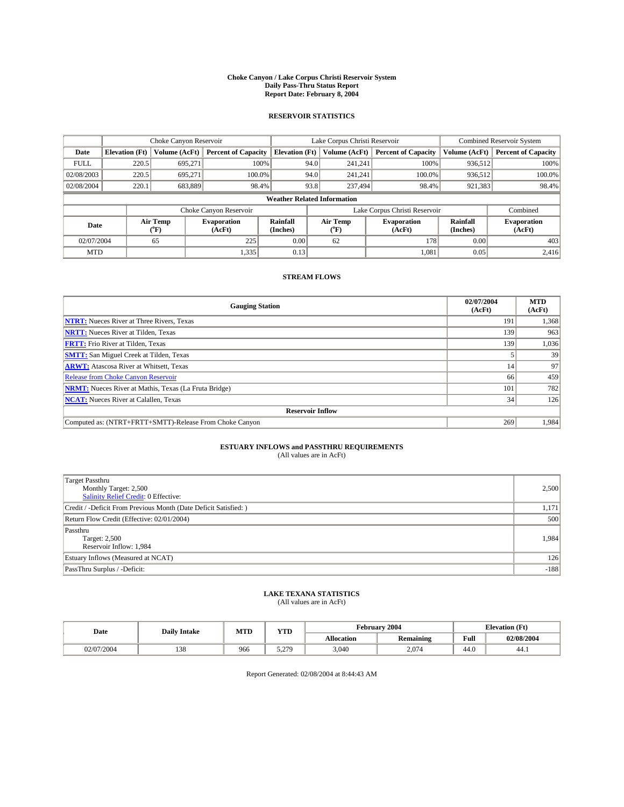### **Choke Canyon / Lake Corpus Christi Reservoir System Daily Pass-Thru Status Report Report Date: February 8, 2004**

### **RESERVOIR STATISTICS**

|             | Choke Canyon Reservoir             |                          | Lake Corpus Christi Reservoir |                       |                               |                  | <b>Combined Reservoir System</b> |                      |                              |
|-------------|------------------------------------|--------------------------|-------------------------------|-----------------------|-------------------------------|------------------|----------------------------------|----------------------|------------------------------|
| Date        | <b>Elevation</b> (Ft)              | Volume (AcFt)            | <b>Percent of Capacity</b>    | <b>Elevation</b> (Ft) |                               | Volume (AcFt)    | <b>Percent of Capacity</b>       | Volume (AcFt)        | <b>Percent of Capacity</b>   |
| <b>FULL</b> | 220.5                              | 695,271                  | 100%                          |                       | 94.0                          | 241,241          | 100%                             | 936.512              | 100%                         |
| 02/08/2003  | 220.5                              | 695.271                  | $100.0\%$                     |                       | 94.0                          | 241.241          | 100.0%                           | 936.512              | 100.0%                       |
| 02/08/2004  | 220.1                              | 683,889                  | 98.4%                         |                       | 93.8                          |                  | 237,494<br>98.4%                 | 921,383              | 98.4%                        |
|             | <b>Weather Related Information</b> |                          |                               |                       |                               |                  |                                  |                      |                              |
|             |                                    |                          | Choke Canyon Reservoir        |                       | Lake Corpus Christi Reservoir |                  |                                  |                      | Combined                     |
| Date        |                                    | Air Temp<br>$\rm ^{6}F)$ | <b>Evaporation</b><br>(AcFt)  | Rainfall<br>(Inches)  |                               | Air Temp<br>("F) | <b>Evaporation</b><br>(AcFt)     | Rainfall<br>(Inches) | <b>Evaporation</b><br>(AcFt) |
| 02/07/2004  |                                    | 65                       | 225                           | 0.00                  |                               | 62               | 178                              | 0.00                 | 403                          |
| <b>MTD</b>  |                                    |                          | 1,335                         | 0.13                  |                               |                  | 1,081                            | 0.05                 | 2,416                        |

## **STREAM FLOWS**

| <b>Gauging Station</b>                                       | 02/07/2004<br>(AcFt) | <b>MTD</b><br>(AcFt) |
|--------------------------------------------------------------|----------------------|----------------------|
| <b>NTRT:</b> Nueces River at Three Rivers, Texas             | 191                  | 1,368                |
| <b>NRTT:</b> Nueces River at Tilden, Texas                   | 139                  | 963                  |
| <b>FRTT:</b> Frio River at Tilden, Texas                     | 139                  | 1,036                |
| <b>SMTT:</b> San Miguel Creek at Tilden, Texas               |                      | 39                   |
| <b>ARWT:</b> Atascosa River at Whitsett, Texas               | 14                   | 97                   |
| <b>Release from Choke Canyon Reservoir</b>                   | 66                   | 459                  |
| <b>NRMT:</b> Nueces River at Mathis, Texas (La Fruta Bridge) | 101                  | 782                  |
| <b>NCAT:</b> Nueces River at Calallen, Texas                 | 34                   | 126                  |
| <b>Reservoir Inflow</b>                                      |                      |                      |
| Computed as: (NTRT+FRTT+SMTT)-Release From Choke Canyon      | 269                  | 1,984                |

# **ESTUARY INFLOWS and PASSTHRU REQUIREMENTS**<br>(All values are in AcFt)

| <b>Target Passthru</b><br>Monthly Target: 2,500<br>Salinity Relief Credit: 0 Effective: | 2,500  |
|-----------------------------------------------------------------------------------------|--------|
| Credit / -Deficit From Previous Month (Date Deficit Satisfied: )                        | 1,171  |
| Return Flow Credit (Effective: 02/01/2004)                                              | 500    |
| Passthru<br>Target: 2,500<br>Reservoir Inflow: 1,984                                    | 1,984  |
| Estuary Inflows (Measured at NCAT)                                                      | 126    |
| PassThru Surplus / -Deficit:                                                            | $-188$ |

# **LAKE TEXANA STATISTICS** (All values are in AcFt)

| Date      | <b>Daily Intake</b> | MTD | YTD          |                   | <b>February 2004</b> | <b>Elevation</b> (Ft) |            |
|-----------|---------------------|-----|--------------|-------------------|----------------------|-----------------------|------------|
|           |                     |     |              | <b>Allocation</b> | <b>Remaining</b>     | Full                  | 02/08/2004 |
| 2/07/2004 | $1 \cap C$<br>120   | 966 | 5 270<br>J.L | 3,040             | 2,074                | 44.0                  | 44.1       |

Report Generated: 02/08/2004 at 8:44:43 AM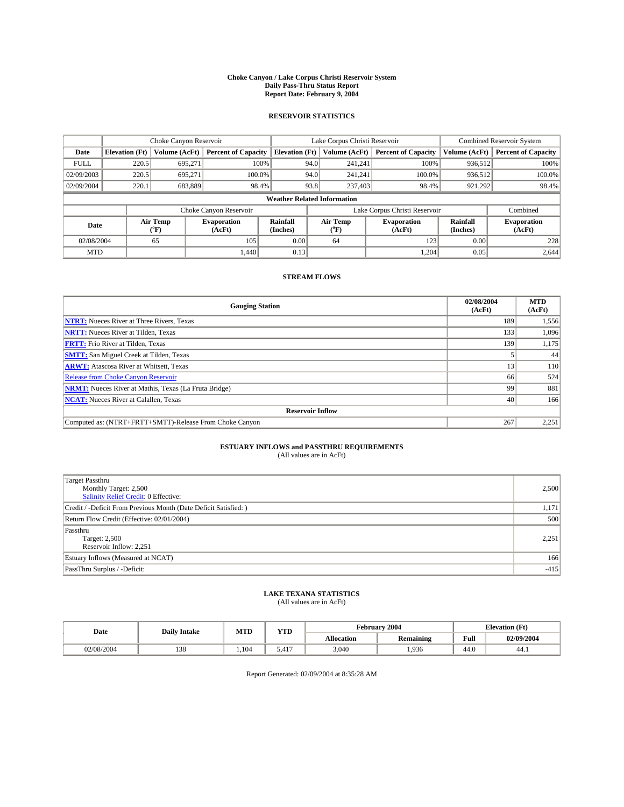### **Choke Canyon / Lake Corpus Christi Reservoir System Daily Pass-Thru Status Report Report Date: February 9, 2004**

### **RESERVOIR STATISTICS**

|             | Choke Canyon Reservoir             |                  | Lake Corpus Christi Reservoir |                       |                               |                  | <b>Combined Reservoir System</b> |                      |                              |  |
|-------------|------------------------------------|------------------|-------------------------------|-----------------------|-------------------------------|------------------|----------------------------------|----------------------|------------------------------|--|
| Date        | <b>Elevation</b> (Ft)              | Volume (AcFt)    | <b>Percent of Capacity</b>    | <b>Elevation (Ft)</b> |                               | Volume (AcFt)    | <b>Percent of Capacity</b>       | Volume (AcFt)        | <b>Percent of Capacity</b>   |  |
| <b>FULL</b> | 220.5                              | 695,271          |                               | 100%                  | 94.0                          | 241,241          | 100%                             | 936.512              | 100%                         |  |
| 02/09/2003  | 220.5                              | 695.271          | $100.0\%$                     |                       | 94.0                          | 241.241          | $100.0\%$                        | 936,512              | 100.0%                       |  |
| 02/09/2004  | 220.1                              | 683,889          | 98.4%                         |                       | 93.8                          | 237,403          | 98.4%                            | 921,292              | 98.4%                        |  |
|             | <b>Weather Related Information</b> |                  |                               |                       |                               |                  |                                  |                      |                              |  |
|             |                                    |                  | Choke Canyon Reservoir        |                       | Lake Corpus Christi Reservoir |                  |                                  | Combined             |                              |  |
| Date        |                                    | Air Temp<br>(°F) | <b>Evaporation</b><br>(AcFt)  | Rainfall<br>(Inches)  |                               | Air Temp<br>("F) | <b>Evaporation</b><br>(AcFt)     | Rainfall<br>(Inches) | <b>Evaporation</b><br>(AcFt) |  |
| 02/08/2004  |                                    | 65               | 105                           | 0.00                  |                               | 64               | 123                              | 0.00                 | 228                          |  |
| <b>MTD</b>  |                                    |                  | 1.440                         | 0.13                  |                               |                  | 1,204                            | 0.05                 | 2,644                        |  |

## **STREAM FLOWS**

| <b>Gauging Station</b>                                       | 02/08/2004<br>(AcFt) | <b>MTD</b><br>(AcFt) |
|--------------------------------------------------------------|----------------------|----------------------|
| <b>NTRT:</b> Nueces River at Three Rivers, Texas             | 189                  | 1,556                |
| <b>NRTT:</b> Nueces River at Tilden, Texas                   | 133                  | 1.096                |
| <b>FRTT:</b> Frio River at Tilden, Texas                     | 139                  | 1,175                |
| <b>SMTT:</b> San Miguel Creek at Tilden, Texas               |                      | 44                   |
| <b>ARWT:</b> Atascosa River at Whitsett, Texas               | 13                   | 110                  |
| Release from Choke Canyon Reservoir                          | 66                   | 524                  |
| <b>NRMT:</b> Nueces River at Mathis, Texas (La Fruta Bridge) | 99                   | 881                  |
| <b>NCAT:</b> Nueces River at Calallen, Texas                 | 40                   | 166                  |
| <b>Reservoir Inflow</b>                                      |                      |                      |
| Computed as: (NTRT+FRTT+SMTT)-Release From Choke Canyon      | 267                  | 2,251                |

# **ESTUARY INFLOWS and PASSTHRU REQUIREMENTS**<br>(All values are in AcFt)

| Target Passthru<br>Monthly Target: 2,500<br>Salinity Relief Credit: 0 Effective: | 2,500  |
|----------------------------------------------------------------------------------|--------|
| Credit / -Deficit From Previous Month (Date Deficit Satisfied: )                 | 1,171  |
| Return Flow Credit (Effective: 02/01/2004)                                       | 500    |
| Passthru<br>Target: 2,500<br>Reservoir Inflow: 2,251                             | 2,251  |
| Estuary Inflows (Measured at NCAT)                                               | 166    |
| PassThru Surplus / -Deficit:                                                     | $-415$ |

# **LAKE TEXANA STATISTICS** (All values are in AcFt)

| Date      | <b>Daily Intake</b> | MTD  | $\mathbf{v}$<br>1 I D |                   | February 2004    |                       | <b>Elevation</b> (Ft) |  |
|-----------|---------------------|------|-----------------------|-------------------|------------------|-----------------------|-----------------------|--|
|           |                     |      |                       | <b>Allocation</b> | <b>Remaining</b> | Full                  | 02/09/2004            |  |
| 2/08/2004 | 120<br>158          | .104 | 417<br>5.41 I         | 3,040             | 1,936            | $AA$ $\Omega$<br>44.U | 44.1                  |  |

Report Generated: 02/09/2004 at 8:35:28 AM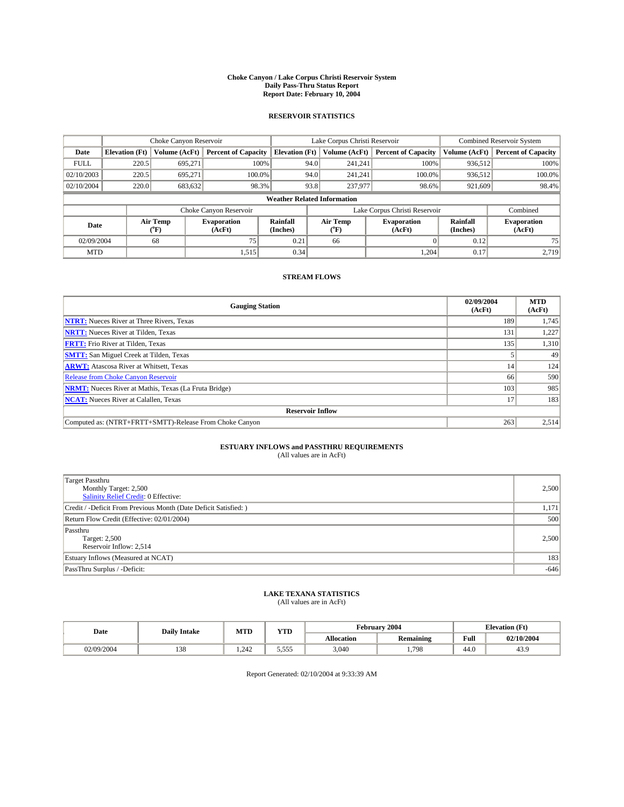### **Choke Canyon / Lake Corpus Christi Reservoir System Daily Pass-Thru Status Report Report Date: February 10, 2004**

### **RESERVOIR STATISTICS**

|             |                                    |                  |                              | Lake Corpus Christi Reservoir | <b>Combined Reservoir System</b> |                  |                              |                      |                              |  |
|-------------|------------------------------------|------------------|------------------------------|-------------------------------|----------------------------------|------------------|------------------------------|----------------------|------------------------------|--|
| Date        | <b>Elevation</b> (Ft)              | Volume (AcFt)    | <b>Percent of Capacity</b>   | <b>Elevation (Ft)</b>         |                                  | Volume (AcFt)    | <b>Percent of Capacity</b>   | Volume (AcFt)        | <b>Percent of Capacity</b>   |  |
| <b>FULL</b> | 220.5                              | 695,271          |                              | 100%                          | 94.0                             | 241,241          | 100%                         | 936.512              | 100%                         |  |
| 02/10/2003  | 220.5                              | 695.271          | $100.0\%$                    |                               | 94.0                             | 241.241          | $100.0\%$                    | 936.512              | 100.0%                       |  |
| 02/10/2004  | 220.0                              | 683,632          | 98.3%                        |                               | 93.8                             | 237,977          | 98.6%                        | 921,609              | 98.4%                        |  |
|             | <b>Weather Related Information</b> |                  |                              |                               |                                  |                  |                              |                      |                              |  |
|             |                                    |                  | Choke Canyon Reservoir       |                               | Lake Corpus Christi Reservoir    |                  |                              |                      | Combined                     |  |
| Date        |                                    | Air Temp<br>(°F) | <b>Evaporation</b><br>(AcFt) | Rainfall<br>(Inches)          |                                  | Air Temp<br>("F) | <b>Evaporation</b><br>(AcFt) | Rainfall<br>(Inches) | <b>Evaporation</b><br>(AcFt) |  |
| 02/09/2004  |                                    | 68               | 75                           | 0.21                          |                                  | 66               |                              | 0.12                 | 75                           |  |
| <b>MTD</b>  |                                    |                  | 1,515                        | 0.34                          |                                  |                  | 1,204                        | 0.17                 | 2,719                        |  |

## **STREAM FLOWS**

| <b>Gauging Station</b>                                       | 02/09/2004<br>(AcFt) | <b>MTD</b><br>(AcFt) |
|--------------------------------------------------------------|----------------------|----------------------|
| <b>NTRT:</b> Nueces River at Three Rivers, Texas             | 189                  | 1,745                |
| <b>NRTT:</b> Nueces River at Tilden, Texas                   | 131                  | 1,227                |
| <b>FRTT:</b> Frio River at Tilden, Texas                     | 135                  | 1,310                |
| <b>SMTT:</b> San Miguel Creek at Tilden, Texas               |                      | 49                   |
| <b>ARWT:</b> Atascosa River at Whitsett, Texas               | 14                   | 124                  |
| <b>Release from Choke Canyon Reservoir</b>                   | 66                   | 590                  |
| <b>NRMT:</b> Nueces River at Mathis, Texas (La Fruta Bridge) | 103                  | 985                  |
| <b>NCAT:</b> Nueces River at Calallen, Texas                 | 17                   | 183                  |
| <b>Reservoir Inflow</b>                                      |                      |                      |
| Computed as: (NTRT+FRTT+SMTT)-Release From Choke Canyon      | 263                  | 2,514                |

# **ESTUARY INFLOWS and PASSTHRU REQUIREMENTS**<br>(All values are in AcFt)

| <b>Target Passthru</b><br>Monthly Target: 2,500<br>Salinity Relief Credit: 0 Effective: | 2,500  |
|-----------------------------------------------------------------------------------------|--------|
| Credit / -Deficit From Previous Month (Date Deficit Satisfied: )                        | 1,171  |
| Return Flow Credit (Effective: 02/01/2004)                                              | 500    |
| Passthru<br>Target: 2,500<br>Reservoir Inflow: 2,514                                    | 2,500  |
| Estuary Inflows (Measured at NCAT)                                                      | 183    |
| PassThru Surplus / -Deficit:                                                            | $-646$ |

# **LAKE TEXANA STATISTICS** (All values are in AcFt)

| Date      | <b>Daily Intake</b> | <b>MTD</b>   | VTF<br>1 I D                |                   | <b>February 2004</b> | <b>Elevation</b> (Ft)   |            |
|-----------|---------------------|--------------|-----------------------------|-------------------|----------------------|-------------------------|------------|
|           |                     |              |                             | <b>Allocation</b> | <b>Remaining</b>     | Full                    | 02/10/2004 |
| 2/09/2004 | $\sim$<br>190       | 242<br>. 242 | ----<br>554<br><u>J.J.J</u> | 3,040             | 1,798                | $\overline{AB}$<br>44.U | 43.9       |

Report Generated: 02/10/2004 at 9:33:39 AM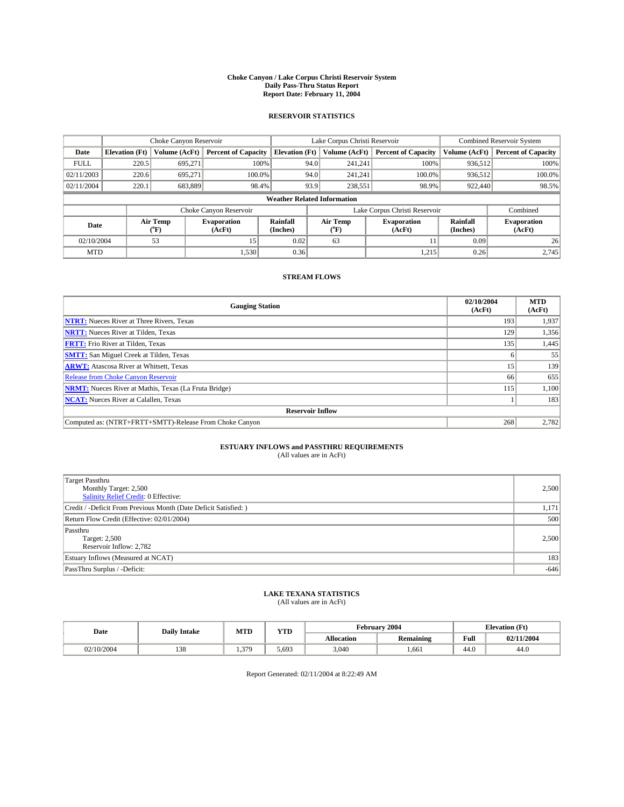### **Choke Canyon / Lake Corpus Christi Reservoir System Daily Pass-Thru Status Report Report Date: February 11, 2004**

### **RESERVOIR STATISTICS**

|             | Choke Canyon Reservoir             |                  | Lake Corpus Christi Reservoir |                       |                               |                  | <b>Combined Reservoir System</b> |                      |                              |  |
|-------------|------------------------------------|------------------|-------------------------------|-----------------------|-------------------------------|------------------|----------------------------------|----------------------|------------------------------|--|
| Date        | <b>Elevation</b> (Ft)              | Volume (AcFt)    | <b>Percent of Capacity</b>    | <b>Elevation (Ft)</b> |                               | Volume (AcFt)    | <b>Percent of Capacity</b>       | Volume (AcFt)        | <b>Percent of Capacity</b>   |  |
| <b>FULL</b> | 220.5                              | 695,271          |                               | 100%                  | 94.0                          | 241,241          | 100%                             | 936.512              | 100%                         |  |
| 02/11/2003  | 220.6                              | 695.271          | $100.0\%$                     |                       | 94.0                          | 241.241          | $100.0\%$                        | 936.512              | 100.0%                       |  |
| 02/11/2004  | 220.1                              | 683,889          | 98.4%                         |                       | 93.9                          |                  | 98.9%<br>238,551                 | 922,440              | 98.5%                        |  |
|             | <b>Weather Related Information</b> |                  |                               |                       |                               |                  |                                  |                      |                              |  |
|             |                                    |                  | Choke Canyon Reservoir        |                       | Lake Corpus Christi Reservoir |                  |                                  |                      | Combined                     |  |
| Date        |                                    | Air Temp<br>(°F) | <b>Evaporation</b><br>(AcFt)  | Rainfall<br>(Inches)  |                               | Air Temp<br>("F) | <b>Evaporation</b><br>(AcFt)     | Rainfall<br>(Inches) | <b>Evaporation</b><br>(AcFt) |  |
| 02/10/2004  |                                    | 53               | 15                            | 0.02                  |                               | 63               |                                  | 0.09                 | 26                           |  |
| <b>MTD</b>  |                                    |                  | 1,530                         | 0.36                  |                               |                  | 1,215                            | 0.26                 | 2,745                        |  |

## **STREAM FLOWS**

| <b>Gauging Station</b>                                       | 02/10/2004<br>(AcFt) | <b>MTD</b><br>(AcFt) |
|--------------------------------------------------------------|----------------------|----------------------|
| <b>NTRT:</b> Nueces River at Three Rivers, Texas             | 193                  | 1,937                |
| <b>NRTT:</b> Nueces River at Tilden, Texas                   | 129                  | 1,356                |
| <b>FRTT:</b> Frio River at Tilden, Texas                     | 135                  | 1,445                |
| <b>SMTT:</b> San Miguel Creek at Tilden, Texas               |                      | 55                   |
| <b>ARWT:</b> Atascosa River at Whitsett, Texas               | 15                   | 139                  |
| <b>Release from Choke Canyon Reservoir</b>                   | 66                   | 655                  |
| <b>NRMT:</b> Nueces River at Mathis, Texas (La Fruta Bridge) | 115                  | 1,100                |
| <b>NCAT:</b> Nueces River at Calallen, Texas                 |                      | 183                  |
| <b>Reservoir Inflow</b>                                      |                      |                      |
| Computed as: (NTRT+FRTT+SMTT)-Release From Choke Canyon      | 268                  | 2,782                |

# **ESTUARY INFLOWS and PASSTHRU REQUIREMENTS**<br>(All values are in AcFt)

| <b>Target Passthru</b><br>Monthly Target: 2,500<br>Salinity Relief Credit: 0 Effective: | 2,500  |
|-----------------------------------------------------------------------------------------|--------|
| Credit / -Deficit From Previous Month (Date Deficit Satisfied: )                        | 1,171  |
| Return Flow Credit (Effective: 02/01/2004)                                              | 500    |
| Passthru<br>Target: 2,500<br>Reservoir Inflow: 2,782                                    | 2,500  |
| Estuary Inflows (Measured at NCAT)                                                      | 183    |
| PassThru Surplus / -Deficit:                                                            | $-646$ |

# **LAKE TEXANA STATISTICS** (All values are in AcFt)

| Date     | <b>Daily Intake</b>   | MTD      | $\mathbf{v}$<br>1 I D |                   | February 2004    | <b>Elevation</b> (Ft) |            |
|----------|-----------------------|----------|-----------------------|-------------------|------------------|-----------------------|------------|
|          |                       |          |                       | <b>Allocation</b> | <b>Remaining</b> | Full                  | 02/11/2004 |
| /10/2004 | 0 <sup>2</sup><br>158 | 370<br>. | 5.693                 | 3,040             | 1,661            | 44.0                  | 44.0       |

Report Generated: 02/11/2004 at 8:22:49 AM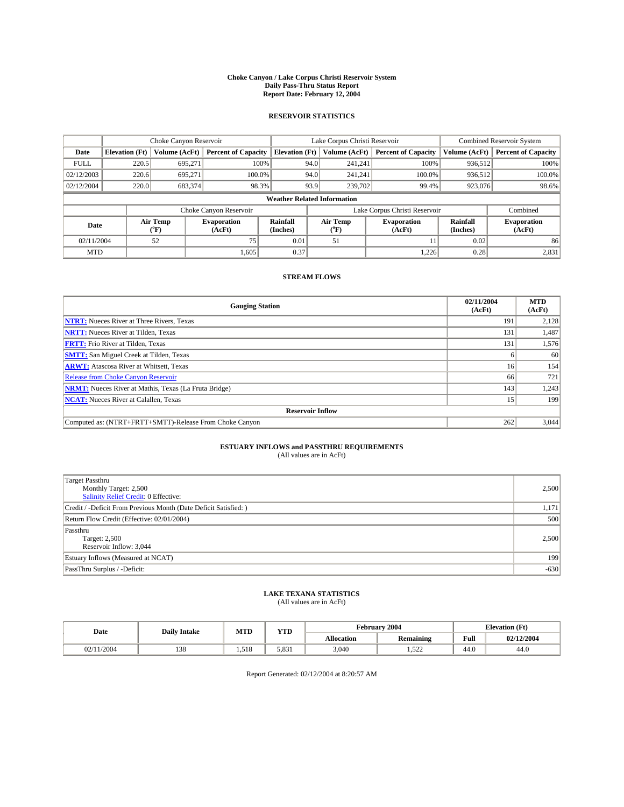### **Choke Canyon / Lake Corpus Christi Reservoir System Daily Pass-Thru Status Report Report Date: February 12, 2004**

### **RESERVOIR STATISTICS**

|             | Choke Canyon Reservoir             |                  | Lake Corpus Christi Reservoir |                       |                               |                  | <b>Combined Reservoir System</b> |                      |                              |  |
|-------------|------------------------------------|------------------|-------------------------------|-----------------------|-------------------------------|------------------|----------------------------------|----------------------|------------------------------|--|
| Date        | <b>Elevation</b> (Ft)              | Volume (AcFt)    | <b>Percent of Capacity</b>    | <b>Elevation (Ft)</b> |                               | Volume (AcFt)    | <b>Percent of Capacity</b>       | Volume (AcFt)        | <b>Percent of Capacity</b>   |  |
| <b>FULL</b> | 220.5                              | 695,271          |                               | 100%                  | 94.0                          | 241,241          | 100%                             | 936.512              | 100%                         |  |
| 02/12/2003  | 220.6                              | 695.271          | $100.0\%$                     |                       | 94.0                          | 241.241          | $100.0\%$                        | 936.512              | 100.0%                       |  |
| 02/12/2004  | 220.0                              | 683,374          | 98.3%                         |                       | 93.9                          |                  | 239,702<br>99.4%                 | 923,076              | 98.6%                        |  |
|             | <b>Weather Related Information</b> |                  |                               |                       |                               |                  |                                  |                      |                              |  |
|             |                                    |                  | Choke Canyon Reservoir        |                       | Lake Corpus Christi Reservoir |                  |                                  |                      | Combined                     |  |
| Date        |                                    | Air Temp<br>(°F) | <b>Evaporation</b><br>(AcFt)  | Rainfall<br>(Inches)  |                               | Air Temp<br>("F) | <b>Evaporation</b><br>(AcFt)     | Rainfall<br>(Inches) | <b>Evaporation</b><br>(AcFt) |  |
| 02/11/2004  |                                    | 52               | 75                            | 0.01                  |                               | 51               |                                  | 0.02                 | 86                           |  |
| <b>MTD</b>  |                                    |                  | 1,605                         | 0.37                  |                               |                  | 1,226                            | 0.28                 | 2,831                        |  |

## **STREAM FLOWS**

| <b>Gauging Station</b>                                       | 02/11/2004<br>(AcFt) | <b>MTD</b><br>(AcFt) |
|--------------------------------------------------------------|----------------------|----------------------|
| <b>NTRT:</b> Nueces River at Three Rivers, Texas             | 191                  | 2,128                |
| <b>NRTT:</b> Nueces River at Tilden, Texas                   | 131                  | 1,487                |
| <b>FRTT:</b> Frio River at Tilden, Texas                     | 131                  | 1,576                |
| <b>SMTT:</b> San Miguel Creek at Tilden, Texas               |                      | 60                   |
| <b>ARWT:</b> Atascosa River at Whitsett, Texas               | 16                   | 154                  |
| Release from Choke Canyon Reservoir                          | 66                   | 721                  |
| <b>NRMT:</b> Nueces River at Mathis, Texas (La Fruta Bridge) | 143                  | 1,243                |
| <b>NCAT:</b> Nueces River at Calallen, Texas                 | 15                   | 199                  |
| <b>Reservoir Inflow</b>                                      |                      |                      |
| Computed as: (NTRT+FRTT+SMTT)-Release From Choke Canyon      | 262                  | 3,044                |

# **ESTUARY INFLOWS and PASSTHRU REQUIREMENTS**<br>(All values are in AcFt)

| <b>Target Passthru</b><br>Monthly Target: 2,500<br>Salinity Relief Credit: 0 Effective: | 2,500  |
|-----------------------------------------------------------------------------------------|--------|
| Credit / -Deficit From Previous Month (Date Deficit Satisfied: )                        | 1,171  |
| Return Flow Credit (Effective: 02/01/2004)                                              | 500    |
| Passthru<br>Target: 2,500<br>Reservoir Inflow: 3,044                                    | 2,500  |
| Estuary Inflows (Measured at NCAT)                                                      | 199    |
| PassThru Surplus / -Deficit:                                                            | $-630$ |

# **LAKE TEXANA STATISTICS** (All values are in AcFt)

| Date   | <b>Daily Intake</b> | MTD   | $\mathbf{v}$<br>1 I D |                   | February 2004            | <b>Elevation</b> (Ft) |            |
|--------|---------------------|-------|-----------------------|-------------------|--------------------------|-----------------------|------------|
|        |                     |       |                       | <b>Allocation</b> | <b>Remaining</b>         | Full                  | 02/12/2004 |
| 1/2004 | 120<br>158          | 1.518 | 5.831                 | 3,040             | 50 <sup>o</sup><br>1,JZZ | 44.0                  | 44.0       |

Report Generated: 02/12/2004 at 8:20:57 AM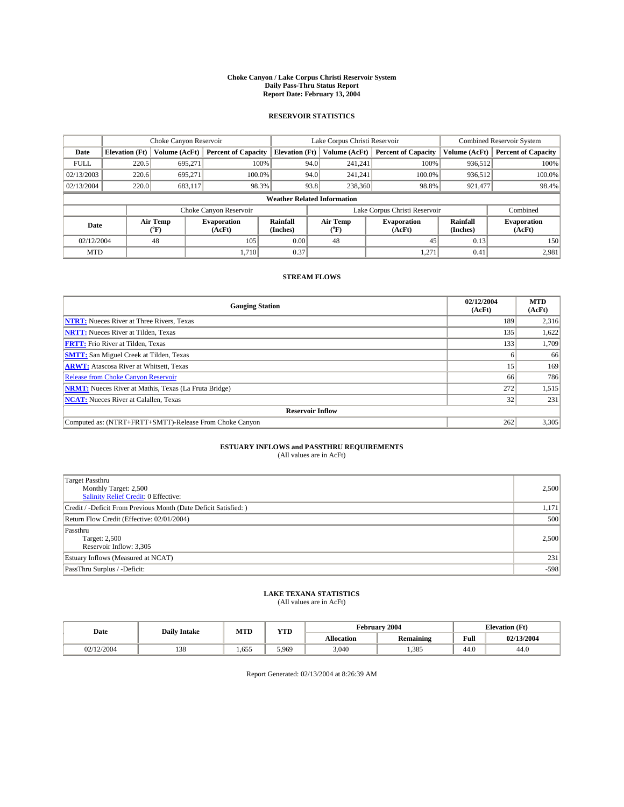### **Choke Canyon / Lake Corpus Christi Reservoir System Daily Pass-Thru Status Report Report Date: February 13, 2004**

### **RESERVOIR STATISTICS**

|             | Choke Canyon Reservoir             |                             |                              |                             |                                           | Lake Corpus Christi Reservoir | <b>Combined Reservoir System</b> |                             |                              |  |
|-------------|------------------------------------|-----------------------------|------------------------------|-----------------------------|-------------------------------------------|-------------------------------|----------------------------------|-----------------------------|------------------------------|--|
| Date        | <b>Elevation</b> (Ft)              | Volume (AcFt)               | <b>Percent of Capacity</b>   | <b>Elevation</b> (Ft)       |                                           | Volume (AcFt)                 | <b>Percent of Capacity</b>       | Volume (AcFt)               | <b>Percent of Capacity</b>   |  |
| <b>FULL</b> | 220.5                              | 695,271                     |                              | 100%                        | 94.0                                      | 241,241                       | 100%                             | 936.512                     | 100%                         |  |
| 02/13/2003  | 220.6                              | 695.271                     | $100.0\%$                    |                             | 94.0                                      | 241.241                       | $100.0\%$                        | 936.512                     | 100.0%                       |  |
| 02/13/2004  | 220.0                              | 683,117                     |                              | 98.3%                       | 93.8                                      |                               | 98.8%<br>238,360                 | 921,477                     | 98.4%                        |  |
|             | <b>Weather Related Information</b> |                             |                              |                             |                                           |                               |                                  |                             |                              |  |
|             |                                    |                             | Choke Canyon Reservoir       |                             | Lake Corpus Christi Reservoir<br>Combined |                               |                                  |                             |                              |  |
| Date        |                                    | Air Temp<br>${}^{\circ}$ F) | <b>Evaporation</b><br>(AcFt) | <b>Rainfall</b><br>(Inches) |                                           | Air Temp<br>("F)              | <b>Evaporation</b><br>(AcFt)     | <b>Rainfall</b><br>(Inches) | <b>Evaporation</b><br>(AcFt) |  |
| 02/12/2004  |                                    | 48                          | 105                          | 0.00                        |                                           | 48                            | 45                               | 0.13                        | 150                          |  |
| <b>MTD</b>  |                                    |                             | 1.710                        | 0.37                        |                                           |                               | 1,271                            | 0.41                        | 2,981                        |  |

## **STREAM FLOWS**

| <b>Gauging Station</b>                                       | 02/12/2004<br>(AcFt) | <b>MTD</b><br>(AcFt) |
|--------------------------------------------------------------|----------------------|----------------------|
| <b>NTRT:</b> Nueces River at Three Rivers, Texas             | 189                  | 2,316                |
| <b>NRTT:</b> Nueces River at Tilden, Texas                   | 135                  | 1,622                |
| <b>FRTT:</b> Frio River at Tilden, Texas                     | 133                  | 1,709                |
| <b>SMTT:</b> San Miguel Creek at Tilden, Texas               |                      | 66                   |
| <b>ARWT:</b> Atascosa River at Whitsett, Texas               | 15                   | 169                  |
| <b>Release from Choke Canyon Reservoir</b>                   | 66                   | 786                  |
| <b>NRMT:</b> Nueces River at Mathis, Texas (La Fruta Bridge) | 272                  | 1,515                |
| <b>NCAT:</b> Nueces River at Calallen, Texas                 | 32                   | 231                  |
| <b>Reservoir Inflow</b>                                      |                      |                      |
| Computed as: (NTRT+FRTT+SMTT)-Release From Choke Canyon      | 262                  | 3,305                |

# **ESTUARY INFLOWS and PASSTHRU REQUIREMENTS**

(All values are in AcFt)

| <b>Target Passthru</b><br>Monthly Target: 2,500<br>Salinity Relief Credit: 0 Effective: | 2,500  |
|-----------------------------------------------------------------------------------------|--------|
| Credit / -Deficit From Previous Month (Date Deficit Satisfied: )                        | 1,171  |
| Return Flow Credit (Effective: 02/01/2004)                                              | 500    |
| Passthru<br>Target: 2,500<br>Reservoir Inflow: 3,305                                    | 2,500  |
| Estuary Inflows (Measured at NCAT)                                                      | 231    |
| PassThru Surplus / -Deficit:                                                            | $-598$ |

# **LAKE TEXANA STATISTICS** (All values are in AcFt)

| Date | <b>Daily Intake</b> | MTD | <b>YTD</b> | February 2004     |                  | <b>Elevation</b> (Ft) |                |
|------|---------------------|-----|------------|-------------------|------------------|-----------------------|----------------|
|      |                     |     |            | <b>Allocation</b> | <b>Remaining</b> | Full                  | 3/2004<br>02/7 |
|      |                     |     |            |                   |                  |                       |                |

Report Generated: 02/13/2004 at 8:26:39 AM

02/12/2004 | 138 | 1,655 | 5,969 | 3,040 | 1,385 | 44.0 | 44.0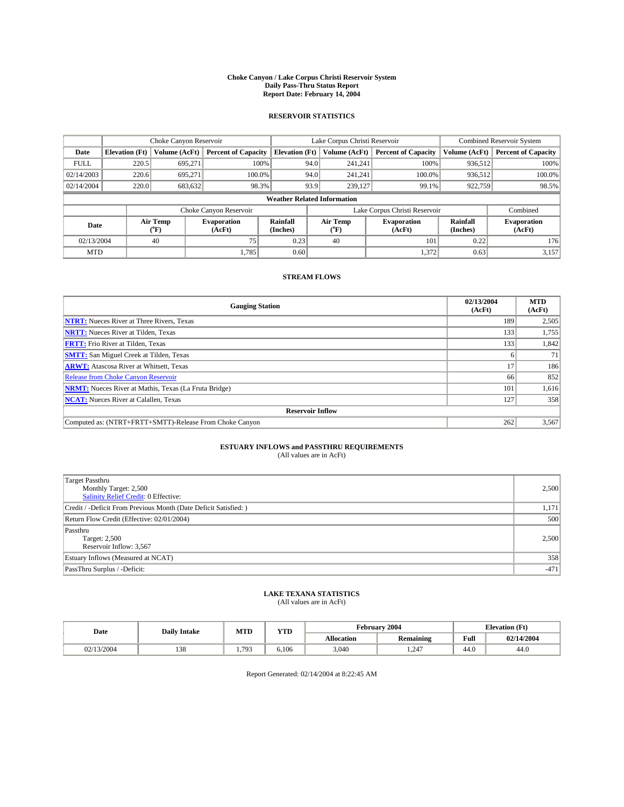### **Choke Canyon / Lake Corpus Christi Reservoir System Daily Pass-Thru Status Report Report Date: February 14, 2004**

### **RESERVOIR STATISTICS**

|             | Choke Canyon Reservoir             |                             |                              |                             |                                           | Lake Corpus Christi Reservoir | <b>Combined Reservoir System</b> |                      |                              |  |  |
|-------------|------------------------------------|-----------------------------|------------------------------|-----------------------------|-------------------------------------------|-------------------------------|----------------------------------|----------------------|------------------------------|--|--|
| Date        | <b>Elevation</b> (Ft)              | Volume (AcFt)               | <b>Percent of Capacity</b>   | <b>Elevation</b> (Ft)       |                                           | Volume (AcFt)                 | <b>Percent of Capacity</b>       | Volume (AcFt)        | <b>Percent of Capacity</b>   |  |  |
| <b>FULL</b> | 220.5                              | 695,271                     |                              | 100%                        | 94.0                                      | 241,241                       | 100%                             | 936.512              | 100%                         |  |  |
| 02/14/2003  | 220.6                              | 695.271                     | $100.0\%$                    |                             | 94.0                                      | 241.241                       | $100.0\%$                        | 936.512              | 100.0%                       |  |  |
| 02/14/2004  | 220.0                              | 683,632                     | 98.3%                        |                             | 93.9                                      | 239,127                       | 99.1%                            | 922,759              | 98.5%                        |  |  |
|             | <b>Weather Related Information</b> |                             |                              |                             |                                           |                               |                                  |                      |                              |  |  |
|             |                                    |                             | Choke Canyon Reservoir       |                             | Lake Corpus Christi Reservoir<br>Combined |                               |                                  |                      |                              |  |  |
| Date        |                                    | Air Temp<br>${}^{\circ}$ F) | <b>Evaporation</b><br>(AcFt) | <b>Rainfall</b><br>(Inches) |                                           | Air Temp<br>("F)              | <b>Evaporation</b><br>(AcFt)     | Rainfall<br>(Inches) | <b>Evaporation</b><br>(AcFt) |  |  |
| 02/13/2004  |                                    | 40                          | 75                           | 0.23                        |                                           | 40                            | 101                              | 0.22                 | 176                          |  |  |
| <b>MTD</b>  |                                    |                             | 1,785                        | 0.60                        |                                           |                               | 1,372                            | 0.63                 | 3,157                        |  |  |

## **STREAM FLOWS**

| <b>Gauging Station</b>                                       | 02/13/2004<br>(AcFt) | <b>MTD</b><br>(AcFt) |
|--------------------------------------------------------------|----------------------|----------------------|
| <b>NTRT:</b> Nueces River at Three Rivers, Texas             | 189                  | 2,505                |
| <b>NRTT:</b> Nueces River at Tilden, Texas                   | 133                  | 1,755                |
| <b>FRTT:</b> Frio River at Tilden, Texas                     | 133                  | 1,842                |
| <b>SMTT:</b> San Miguel Creek at Tilden, Texas               |                      | 71                   |
| <b>ARWT:</b> Atascosa River at Whitsett, Texas               | 17                   | 186                  |
| <b>Release from Choke Canyon Reservoir</b>                   | 66                   | 852                  |
| <b>NRMT:</b> Nueces River at Mathis, Texas (La Fruta Bridge) | 101                  | 1,616                |
| <b>NCAT:</b> Nueces River at Calallen, Texas                 | 127                  | 358                  |
| <b>Reservoir Inflow</b>                                      |                      |                      |
| Computed as: (NTRT+FRTT+SMTT)-Release From Choke Canyon      | 262                  | 3,567                |

# **ESTUARY INFLOWS and PASSTHRU REQUIREMENTS**<br>(All values are in AcFt)

| Target Passthru<br>Monthly Target: 2,500<br>Salinity Relief Credit: 0 Effective: | 2,500  |
|----------------------------------------------------------------------------------|--------|
| Credit / -Deficit From Previous Month (Date Deficit Satisfied: )                 | 1,171  |
| Return Flow Credit (Effective: 02/01/2004)                                       | 500    |
| Passthru<br>Target: 2,500<br>Reservoir Inflow: 3,567                             | 2,500  |
| Estuary Inflows (Measured at NCAT)                                               | 358    |
| PassThru Surplus / -Deficit:                                                     | $-471$ |

# **LAKE TEXANA STATISTICS** (All values are in AcFt)

| Date     | <b>Daily Intake</b>  | MTD | VTD<br>1 I D |                   | February 2004    | <b>Elevation</b> (Ft)   |            |  |
|----------|----------------------|-----|--------------|-------------------|------------------|-------------------------|------------|--|
|          |                      |     |              | <b>Allocation</b> | <b>Remaining</b> | Full                    | 02/14/2004 |  |
| /13/2004 | $\sim$ $\sim$<br>190 | 793 | 6.106        | 3,040             | 1.247            | $\overline{AB}$<br>44.U | 44.0       |  |

Report Generated: 02/14/2004 at 8:22:45 AM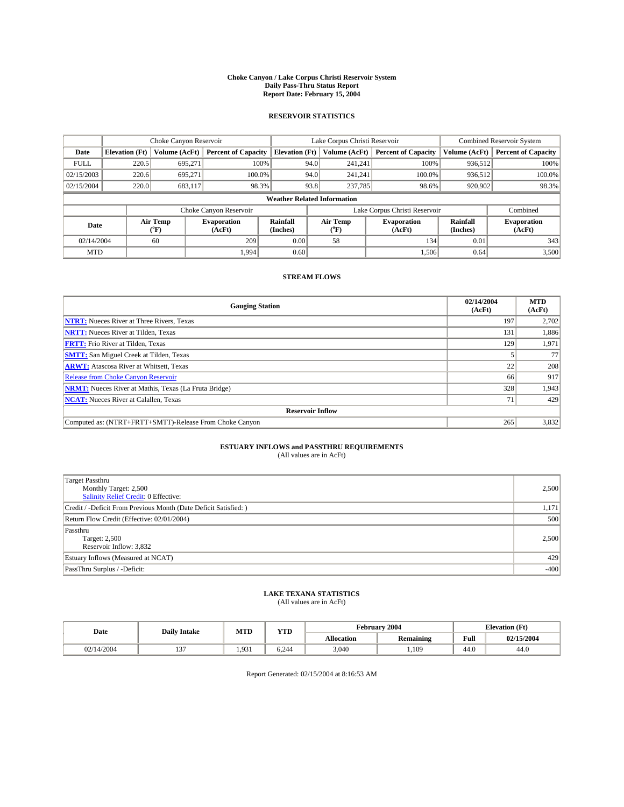### **Choke Canyon / Lake Corpus Christi Reservoir System Daily Pass-Thru Status Report Report Date: February 15, 2004**

### **RESERVOIR STATISTICS**

|             | Choke Canyon Reservoir             |                  |                              |                             |                                           | Lake Corpus Christi Reservoir | <b>Combined Reservoir System</b> |                      |                              |  |
|-------------|------------------------------------|------------------|------------------------------|-----------------------------|-------------------------------------------|-------------------------------|----------------------------------|----------------------|------------------------------|--|
| Date        | <b>Elevation</b> (Ft)              | Volume (AcFt)    | <b>Percent of Capacity</b>   | <b>Elevation</b> (Ft)       |                                           | Volume (AcFt)                 | <b>Percent of Capacity</b>       | Volume (AcFt)        | <b>Percent of Capacity</b>   |  |
| <b>FULL</b> | 220.5                              | 695,271          |                              | 100%                        | 94.0                                      | 241,241                       | 100%                             | 936.512              | 100%                         |  |
| 02/15/2003  | 220.6                              | 695.271          | $100.0\%$                    |                             | 94.0                                      | 241.241                       | $100.0\%$                        | 936.512              | 100.0%                       |  |
| 02/15/2004  | 220.0                              | 683,117          | 98.3%                        |                             | 93.8                                      | 237,785                       | 98.6%                            | 920,902              | 98.3%                        |  |
|             | <b>Weather Related Information</b> |                  |                              |                             |                                           |                               |                                  |                      |                              |  |
|             |                                    |                  | Choke Canyon Reservoir       |                             | Lake Corpus Christi Reservoir<br>Combined |                               |                                  |                      |                              |  |
| Date        |                                    | Air Temp<br>(°F) | <b>Evaporation</b><br>(AcFt) | <b>Rainfall</b><br>(Inches) |                                           | Air Temp<br>("F)              | <b>Evaporation</b><br>(AcFt)     | Rainfall<br>(Inches) | <b>Evaporation</b><br>(AcFt) |  |
| 02/14/2004  |                                    | 60               | 209                          | 0.00                        |                                           | 58                            | 134                              | 0.01                 | 343                          |  |
| <b>MTD</b>  |                                    |                  | 1,994                        | 0.60                        |                                           |                               | 1,506                            | 0.64                 | 3,500                        |  |

## **STREAM FLOWS**

| <b>Gauging Station</b>                                       | 02/14/2004<br>(AcFt) | <b>MTD</b><br>(AcFt) |
|--------------------------------------------------------------|----------------------|----------------------|
| <b>NTRT:</b> Nueces River at Three Rivers, Texas             | 197                  | 2,702                |
| <b>NRTT:</b> Nueces River at Tilden, Texas                   | 131                  | 1,886                |
| <b>FRTT:</b> Frio River at Tilden, Texas                     | 129                  | 1,971                |
| <b>SMTT:</b> San Miguel Creek at Tilden, Texas               |                      | 77                   |
| <b>ARWT:</b> Atascosa River at Whitsett, Texas               | 22                   | 208                  |
| <b>Release from Choke Canyon Reservoir</b>                   | 66                   | 917                  |
| <b>NRMT:</b> Nueces River at Mathis, Texas (La Fruta Bridge) | 328                  | 1,943                |
| <b>NCAT:</b> Nueces River at Calallen, Texas                 | 71                   | 429                  |
| <b>Reservoir Inflow</b>                                      |                      |                      |
| Computed as: (NTRT+FRTT+SMTT)-Release From Choke Canyon      | 265                  | 3,832                |

# **ESTUARY INFLOWS and PASSTHRU REQUIREMENTS**<br>(All values are in AcFt)

| <b>Target Passthru</b><br>Monthly Target: 2,500<br>Salinity Relief Credit: 0 Effective: | 2,500  |
|-----------------------------------------------------------------------------------------|--------|
| Credit / -Deficit From Previous Month (Date Deficit Satisfied: )                        | 1,171  |
| Return Flow Credit (Effective: 02/01/2004)                                              | 500    |
| Passthru<br>Target: 2,500<br>Reservoir Inflow: 3,832                                    | 2,500  |
| Estuary Inflows (Measured at NCAT)                                                      | 429    |
| PassThru Surplus / -Deficit:                                                            | $-400$ |

# **LAKE TEXANA STATISTICS** (All values are in AcFt)

| Date       | <b>Daily Intake</b> | <b>MTD</b>   | $\mathbf{v}$<br>1 I D       |                   | <b>February 2004</b> | <b>Elevation</b> (Ft)   |            |
|------------|---------------------|--------------|-----------------------------|-------------------|----------------------|-------------------------|------------|
|            |                     |              |                             | <b>Allocation</b> | <b>Remaining</b>     | Full                    | 02/15/2004 |
| 02/14/2004 | $-$<br>$\cdot$      | 031<br>1.221 | $\sim$ 0.4.4 $\sim$<br>.244 | 3,040             | 1,109                | $\overline{AB}$<br>44.U | 44.0       |

Report Generated: 02/15/2004 at 8:16:53 AM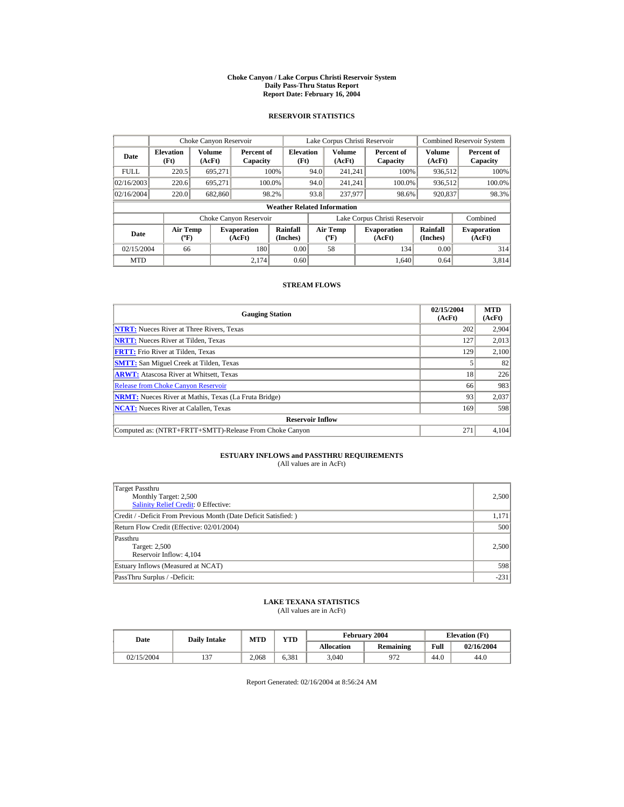#### **Choke Canyon / Lake Corpus Christi Reservoir System Daily Pass-Thru Status Report Report Date: February 16, 2004**

## **RESERVOIR STATISTICS**

|             | Choke Canyon Reservoir         |                  |                              |                                    | Lake Corpus Christi Reservoir |                         |                                   |                               |                         | <b>Combined Reservoir System</b> |                      |                              |
|-------------|--------------------------------|------------------|------------------------------|------------------------------------|-------------------------------|-------------------------|-----------------------------------|-------------------------------|-------------------------|----------------------------------|----------------------|------------------------------|
| Date        | <b>Elevation</b><br>(Ft)       | Volume<br>(AcFt) | Percent of<br>Capacity       | <b>Elevation</b><br>(Ft)           |                               | <b>Volume</b><br>(AcFt) |                                   | Percent of<br>Capacity        | <b>Volume</b><br>(AcFt) | Percent of<br>Capacity           |                      |                              |
| <b>FULL</b> | 220.5                          | 695.271          |                              | 100%                               | 94.0                          | 241.241                 |                                   | 100%                          | 936,512                 | 100%                             |                      |                              |
| 02/16/2003  | 220.6                          | 695.271          |                              | 100.0%                             | 94.0                          | 241.241                 |                                   | 100.0%                        | 936,512                 | 100.0%                           |                      |                              |
| 02/16/2004  | 220.0                          | 682,860          |                              | 98.2%                              | 93.8<br>237,977               |                         | 98.6%                             | 920,837                       | 98.3%                   |                                  |                      |                              |
|             |                                |                  |                              | <b>Weather Related Information</b> |                               |                         |                                   |                               |                         |                                  |                      |                              |
|             |                                |                  | Choke Canyon Reservoir       |                                    |                               |                         |                                   | Lake Corpus Christi Reservoir |                         | Combined                         |                      |                              |
| Date        | Air Temp<br>$({}^o\mathrm{F})$ |                  | <b>Evaporation</b><br>(AcFt) | Rainfall<br>(Inches)               |                               |                         | Air Temp<br>$({}^{\circ}{\rm F})$ |                               |                         | <b>Evaporation</b><br>(AcFt)     | Rainfall<br>(Inches) | <b>Evaporation</b><br>(AcFt) |
| 02/15/2004  | 66                             |                  | 180                          | 0.00                               |                               | 58                      |                                   | 134                           | 0.00                    | 314                              |                      |                              |
| <b>MTD</b>  |                                |                  | 2.174                        | 0.60                               |                               |                         |                                   | 1.640                         | 0.64                    | 3.814                            |                      |                              |

### **STREAM FLOWS**

| <b>Gauging Station</b>                                       | 02/15/2004<br>(AcFt) | <b>MTD</b><br>(AcFt) |
|--------------------------------------------------------------|----------------------|----------------------|
| <b>NTRT:</b> Nueces River at Three Rivers, Texas             | 202                  | 2,904                |
| <b>NRTT:</b> Nueces River at Tilden, Texas                   | 127                  | 2,013                |
| <b>FRTT:</b> Frio River at Tilden, Texas                     | 129                  | 2,100                |
| <b>SMTT:</b> San Miguel Creek at Tilden, Texas               |                      | 82                   |
| <b>ARWT:</b> Atascosa River at Whitsett, Texas               | 18                   | 226                  |
| <b>Release from Choke Canyon Reservoir</b>                   | 66                   | 983                  |
| <b>NRMT:</b> Nueces River at Mathis, Texas (La Fruta Bridge) | 93                   | 2,037                |
| <b>NCAT:</b> Nueces River at Calallen, Texas                 | 169                  | 598                  |
| <b>Reservoir Inflow</b>                                      |                      |                      |
| Computed as: (NTRT+FRTT+SMTT)-Release From Choke Canyon      | 271                  | 4,104                |

# **ESTUARY INFLOWS and PASSTHRU REQUIREMENTS**<br>(All values are in AcFt)

| Target Passthru<br>Monthly Target: 2,500<br><b>Salinity Relief Credit: 0 Effective:</b> | 2,500  |  |  |  |  |
|-----------------------------------------------------------------------------------------|--------|--|--|--|--|
| Credit / -Deficit From Previous Month (Date Deficit Satisfied:)                         | 1,171  |  |  |  |  |
| Return Flow Credit (Effective: 02/01/2004)                                              |        |  |  |  |  |
| Passthru<br>Target: 2,500<br>Reservoir Inflow: 4,104                                    | 2,500  |  |  |  |  |
| Estuary Inflows (Measured at NCAT)                                                      | 598    |  |  |  |  |
| PassThru Surplus / -Deficit:                                                            | $-231$ |  |  |  |  |

# **LAKE TEXANA STATISTICS**

(All values are in AcFt)

| Date       | <b>Daily Intake</b> | <b>MTD</b> | VTD   |                   | February 2004 |      | <b>Elevation</b> (Ft) |
|------------|---------------------|------------|-------|-------------------|---------------|------|-----------------------|
|            |                     |            |       | <b>Allocation</b> | Remaining     | Full | 02/16/2004            |
| 02/15/2004 | $\sim$<br>1J.       | 2.068      | 6.381 | 3.040             | 972           | 44.0 | 44.0                  |

Report Generated: 02/16/2004 at 8:56:24 AM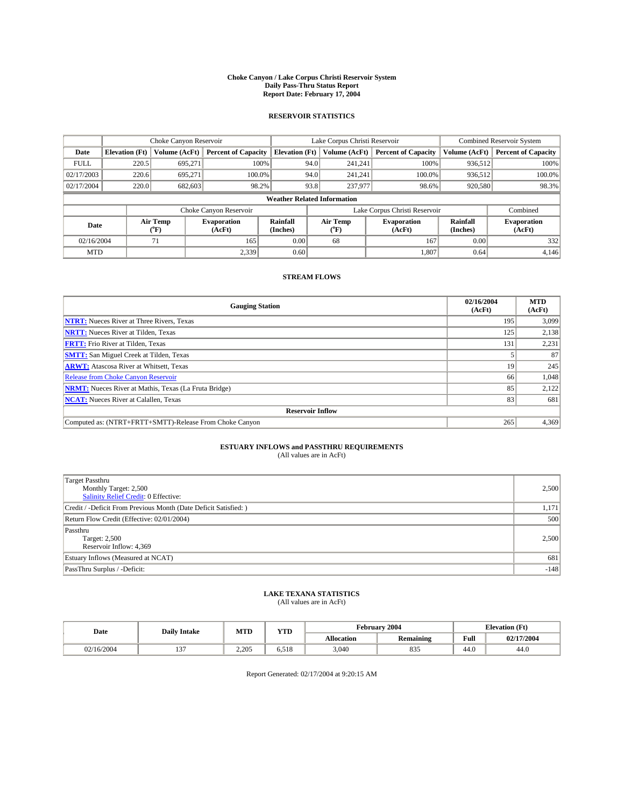### **Choke Canyon / Lake Corpus Christi Reservoir System Daily Pass-Thru Status Report Report Date: February 17, 2004**

### **RESERVOIR STATISTICS**

|             |                                    |                      | Lake Corpus Christi Reservoir |                       |      |                  | <b>Combined Reservoir System</b> |                      |                              |
|-------------|------------------------------------|----------------------|-------------------------------|-----------------------|------|------------------|----------------------------------|----------------------|------------------------------|
| Date        | <b>Elevation</b> (Ft)              | <b>Volume (AcFt)</b> | <b>Percent of Capacity</b>    | <b>Elevation</b> (Ft) |      | Volume (AcFt)    | <b>Percent of Capacity</b>       | Volume (AcFt)        | <b>Percent of Capacity</b>   |
| <b>FULL</b> | 220.5                              | 695.271              |                               | 100%                  | 94.0 | 241,241          | 100%                             | 936,512              | 100%                         |
| 02/17/2003  | 220.6                              | 695,271              | $100.0\%$                     |                       | 94.0 | 241,241          | $100.0\%$                        | 936,512              | 100.0%                       |
| 02/17/2004  | 220.0                              | 682,603              | 98.2%                         |                       | 93.8 | 237,977          | 98.6%                            | 920,580              | 98.3%                        |
|             | <b>Weather Related Information</b> |                      |                               |                       |      |                  |                                  |                      |                              |
|             |                                    |                      | Choke Canyon Reservoir        |                       |      |                  | Lake Corpus Christi Reservoir    |                      | Combined                     |
| Date        |                                    | Air Temp<br>(°F)     | <b>Evaporation</b><br>(AcFt)  | Rainfall<br>(Inches)  |      | Air Temp<br>("F) | <b>Evaporation</b><br>(AcFt)     | Rainfall<br>(Inches) | <b>Evaporation</b><br>(AcFt) |
| 02/16/2004  |                                    | 71                   | 165                           | 0.00                  |      | 68               | 167                              | 0.00                 | 332                          |
| <b>MTD</b>  |                                    |                      | 2,339                         | 0.60                  |      |                  | 1,807                            | 0.64                 | 4,146                        |

## **STREAM FLOWS**

| <b>Gauging Station</b>                                       | 02/16/2004<br>(AcFt) | <b>MTD</b><br>(AcFt) |
|--------------------------------------------------------------|----------------------|----------------------|
| <b>NTRT:</b> Nueces River at Three Rivers, Texas             | 195                  | 3,099                |
| <b>NRTT:</b> Nueces River at Tilden, Texas                   | 125                  | 2,138                |
| <b>FRTT:</b> Frio River at Tilden, Texas                     | 131                  | 2,231                |
| <b>SMTT:</b> San Miguel Creek at Tilden, Texas               |                      | 87                   |
| <b>ARWT:</b> Atascosa River at Whitsett, Texas               | 19                   | 245                  |
| <b>Release from Choke Canyon Reservoir</b>                   | 66                   | 1,048                |
| <b>NRMT:</b> Nueces River at Mathis, Texas (La Fruta Bridge) | 85                   | 2,122                |
| <b>NCAT:</b> Nueces River at Calallen, Texas                 | 83                   | 681                  |
| <b>Reservoir Inflow</b>                                      |                      |                      |
| Computed as: (NTRT+FRTT+SMTT)-Release From Choke Canyon      | 265                  | 4,369                |

# **ESTUARY INFLOWS and PASSTHRU REQUIREMENTS**<br>(All values are in AcFt)

| <b>Target Passthru</b><br>Monthly Target: 2,500<br>Salinity Relief Credit: 0 Effective: | 2,500  |
|-----------------------------------------------------------------------------------------|--------|
| Credit / -Deficit From Previous Month (Date Deficit Satisfied: )                        | 1,171  |
| Return Flow Credit (Effective: 02/01/2004)                                              | 500    |
| Passthru<br>Target: 2,500<br>Reservoir Inflow: 4,369                                    | 2,500  |
| Estuary Inflows (Measured at NCAT)                                                      | 681    |
| PassThru Surplus / -Deficit:                                                            | $-148$ |

# **LAKE TEXANA STATISTICS** (All values are in AcFt)

| Date       | <b>Daily Intake</b> | MTD   | VTD<br>1 I.D  | <b>February</b>   | 2004             | <b>Elevation</b> (Ft) |            |
|------------|---------------------|-------|---------------|-------------------|------------------|-----------------------|------------|
|            |                     |       |               | <b>Allocation</b> | <b>Remaining</b> | Full                  | 02/17/2004 |
| 02/16/2004 | --                  | 2.205 | 710<br>0.JI C | 3,040             | $\Omega$<br>832  | 44.V                  | 44.U       |

Report Generated: 02/17/2004 at 9:20:15 AM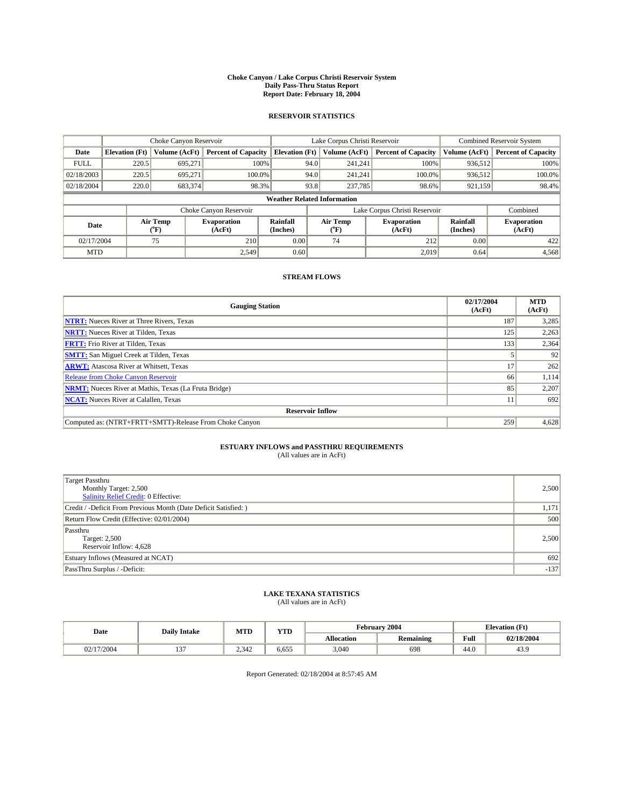### **Choke Canyon / Lake Corpus Christi Reservoir System Daily Pass-Thru Status Report Report Date: February 18, 2004**

### **RESERVOIR STATISTICS**

|             | Choke Canyon Reservoir             |                             |                              |                             | Lake Corpus Christi Reservoir |                  |                              |                      | <b>Combined Reservoir System</b> |  |
|-------------|------------------------------------|-----------------------------|------------------------------|-----------------------------|-------------------------------|------------------|------------------------------|----------------------|----------------------------------|--|
| Date        | <b>Elevation</b> (Ft)              | Volume (AcFt)               | <b>Percent of Capacity</b>   | <b>Elevation</b> (Ft)       |                               | Volume (AcFt)    | <b>Percent of Capacity</b>   | Volume (AcFt)        | <b>Percent of Capacity</b>       |  |
| <b>FULL</b> | 220.5                              | 695,271                     |                              | 100%                        | 94.0                          | 241,241          | 100%                         | 936,512              | 100%                             |  |
| 02/18/2003  | 220.5                              | 695.271                     | 100.0%                       |                             | 94.0                          | 241.241          | $100.0\%$                    | 936,512              | 100.0%                           |  |
| 02/18/2004  | 220.0                              | 683,374                     |                              | 98.3%                       | 93.8                          | 237,785          | 98.6%                        | 921,159              | 98.4%                            |  |
|             | <b>Weather Related Information</b> |                             |                              |                             |                               |                  |                              |                      |                                  |  |
|             |                                    |                             | Choke Canyon Reservoir       |                             | Lake Corpus Christi Reservoir |                  |                              |                      | Combined                         |  |
| Date        |                                    | Air Temp<br>${}^{\circ}$ F) | <b>Evaporation</b><br>(AcFt) | <b>Rainfall</b><br>(Inches) |                               | Air Temp<br>("F) | <b>Evaporation</b><br>(AcFt) | Rainfall<br>(Inches) | <b>Evaporation</b><br>(AcFt)     |  |
| 02/17/2004  |                                    | 75                          | 210                          | 0.00                        |                               | 74               | 212                          | 0.00                 | 422                              |  |
| <b>MTD</b>  |                                    |                             | 2.549                        | 0.60                        |                               |                  | 2,019                        | 0.64                 | 4,568                            |  |

## **STREAM FLOWS**

| <b>Gauging Station</b>                                       | 02/17/2004<br>(AcFt) | <b>MTD</b><br>(AcFt) |
|--------------------------------------------------------------|----------------------|----------------------|
| <b>NTRT:</b> Nueces River at Three Rivers, Texas             | 187                  | 3,285                |
| <b>NRTT:</b> Nueces River at Tilden, Texas                   | 125                  | 2,263                |
| <b>FRTT:</b> Frio River at Tilden, Texas                     | 133                  | 2,364                |
| <b>SMTT:</b> San Miguel Creek at Tilden, Texas               |                      | 92                   |
| <b>ARWT:</b> Atascosa River at Whitsett, Texas               | 17                   | 262                  |
| <b>Release from Choke Canyon Reservoir</b>                   | 66                   | 1,114                |
| <b>NRMT:</b> Nueces River at Mathis, Texas (La Fruta Bridge) | 85                   | 2,207                |
| <b>NCAT:</b> Nueces River at Calallen, Texas                 |                      | 692                  |
| <b>Reservoir Inflow</b>                                      |                      |                      |
| Computed as: (NTRT+FRTT+SMTT)-Release From Choke Canyon      | 259                  | 4,628                |

# **ESTUARY INFLOWS and PASSTHRU REQUIREMENTS**<br>(All values are in AcFt)

| Target Passthru<br>Monthly Target: 2,500<br>Salinity Relief Credit: 0 Effective: | 2,500  |
|----------------------------------------------------------------------------------|--------|
| Credit / -Deficit From Previous Month (Date Deficit Satisfied: )                 | 1,171  |
| Return Flow Credit (Effective: 02/01/2004)                                       | 500    |
| Passthru<br>Target: 2,500<br>Reservoir Inflow: 4,628                             | 2,500  |
| Estuary Inflows (Measured at NCAT)                                               | 692    |
| PassThru Surplus / -Deficit:                                                     | $-137$ |

# **LAKE TEXANA STATISTICS** (All values are in AcFt)

| Date            | <b>Daily Intake</b>   | MTL   | $\mathbf{v}$<br>1 I D |                   | <b>February 2004</b> | <b>Elevation</b> (Ft)   |            |
|-----------------|-----------------------|-------|-----------------------|-------------------|----------------------|-------------------------|------------|
|                 |                       |       |                       | <b>Allocation</b> | <b>Remaining</b>     | Full                    | 02/18/2004 |
| /2004<br>$\sim$ | $-$<br>$\overline{ }$ | 2.342 | ----<br>5.655         | 3,040             | 698                  | $\overline{AB}$<br>44.U | 43.9       |

Report Generated: 02/18/2004 at 8:57:45 AM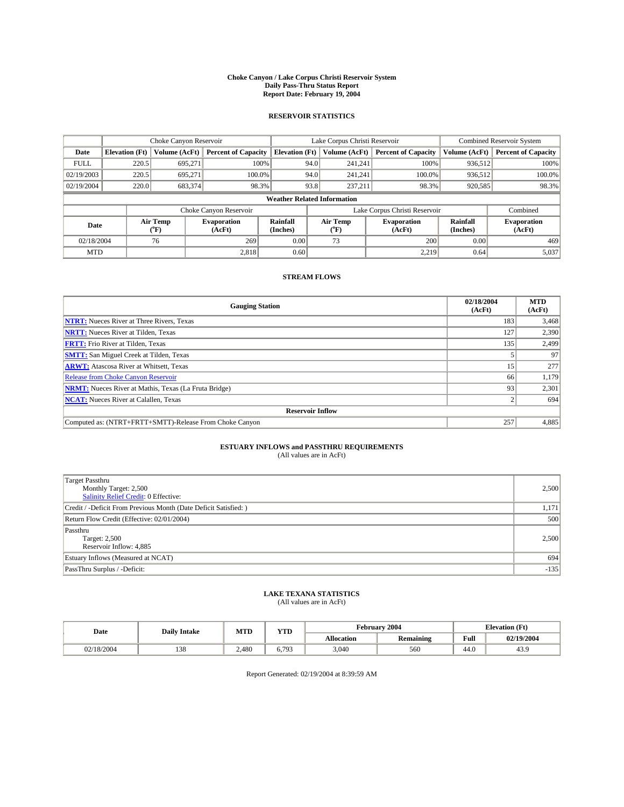### **Choke Canyon / Lake Corpus Christi Reservoir System Daily Pass-Thru Status Report Report Date: February 19, 2004**

### **RESERVOIR STATISTICS**

|             | Choke Canyon Reservoir             |                             |                              | Lake Corpus Christi Reservoir | <b>Combined Reservoir System</b> |                  |                              |                      |                              |
|-------------|------------------------------------|-----------------------------|------------------------------|-------------------------------|----------------------------------|------------------|------------------------------|----------------------|------------------------------|
| Date        | <b>Elevation</b> (Ft)              | Volume (AcFt)               | <b>Percent of Capacity</b>   | <b>Elevation</b> (Ft)         |                                  | Volume (AcFt)    | <b>Percent of Capacity</b>   | Volume (AcFt)        | <b>Percent of Capacity</b>   |
| <b>FULL</b> | 220.5                              | 695,271                     | 100%                         |                               | 94.0                             | 241,241          | 100%                         | 936.512              | 100%                         |
| 02/19/2003  | 220.5                              | 695.271                     | $100.0\%$                    |                               | 94.0                             | 241.241          | $100.0\%$                    | 936.512              | 100.0%                       |
| 02/19/2004  | 220.0                              | 683,374                     | 98.3%                        |                               | 93.8                             | 237,211          | 98.3%                        | 920,585              | 98.3%                        |
|             | <b>Weather Related Information</b> |                             |                              |                               |                                  |                  |                              |                      |                              |
|             |                                    |                             | Choke Canyon Reservoir       |                               | Lake Corpus Christi Reservoir    |                  |                              | Combined             |                              |
| Date        |                                    | Air Temp<br>${}^{\circ}$ F) | <b>Evaporation</b><br>(AcFt) | <b>Rainfall</b><br>(Inches)   |                                  | Air Temp<br>("F) | <b>Evaporation</b><br>(AcFt) | Rainfall<br>(Inches) | <b>Evaporation</b><br>(AcFt) |
| 02/18/2004  |                                    | 76                          | 269                          | 0.00                          |                                  | 73               | 200                          | 0.00                 | 469                          |
| <b>MTD</b>  |                                    |                             | 2,818                        | 0.60                          |                                  |                  | 2,219                        | 0.64                 | 5,037                        |

## **STREAM FLOWS**

| <b>Gauging Station</b>                                       | 02/18/2004<br>(AcFt) | <b>MTD</b><br>(AcFt) |
|--------------------------------------------------------------|----------------------|----------------------|
| <b>NTRT:</b> Nueces River at Three Rivers, Texas             | 183                  | 3,468                |
| <b>NRTT:</b> Nueces River at Tilden, Texas                   | 127                  | 2,390                |
| <b>FRTT:</b> Frio River at Tilden, Texas                     | 135                  | 2,499                |
| <b>SMTT:</b> San Miguel Creek at Tilden, Texas               |                      | 97                   |
| <b>ARWT:</b> Atascosa River at Whitsett, Texas               | 15                   | 277                  |
| <b>Release from Choke Canyon Reservoir</b>                   | 66                   | 1,179                |
| <b>NRMT:</b> Nueces River at Mathis, Texas (La Fruta Bridge) | 93                   | 2,301                |
| <b>NCAT:</b> Nueces River at Calallen, Texas                 |                      | 694                  |
| <b>Reservoir Inflow</b>                                      |                      |                      |
| Computed as: (NTRT+FRTT+SMTT)-Release From Choke Canyon      | 257                  | 4,885                |

# **ESTUARY INFLOWS and PASSTHRU REQUIREMENTS**<br>(All values are in AcFt)

| <b>Target Passthru</b><br>Monthly Target: 2,500<br>Salinity Relief Credit: 0 Effective: | 2,500  |
|-----------------------------------------------------------------------------------------|--------|
| Credit / -Deficit From Previous Month (Date Deficit Satisfied: )                        | 1,171  |
| Return Flow Credit (Effective: 02/01/2004)                                              | 500    |
| Passthru<br>Target: 2,500<br>Reservoir Inflow: 4,885                                    | 2,500  |
| Estuary Inflows (Measured at NCAT)                                                      | 694    |
| PassThru Surplus / -Deficit:                                                            | $-135$ |

# **LAKE TEXANA STATISTICS** (All values are in AcFt)

| Date       | <b>Daily Intake</b> | <b>MTD</b> | VTF<br>1 I D        |                   | <b>February 2004</b> | <b>Elevation</b> (Ft)   |            |
|------------|---------------------|------------|---------------------|-------------------|----------------------|-------------------------|------------|
|            |                     |            |                     | <b>Allocation</b> | <b>Remaining</b>     | Full                    | 02/19/2004 |
| 02/18/2004 | $\sim$<br>190       | .480       | .703<br>◡.<br>, , , | 3,040             | 560                  | $\overline{AB}$<br>44.U | 43.9       |

Report Generated: 02/19/2004 at 8:39:59 AM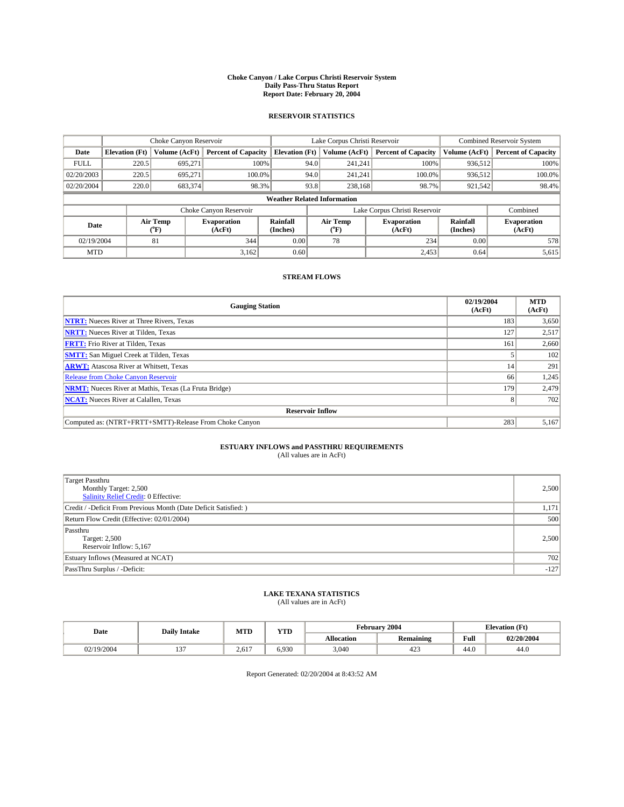### **Choke Canyon / Lake Corpus Christi Reservoir System Daily Pass-Thru Status Report Report Date: February 20, 2004**

### **RESERVOIR STATISTICS**

|             | Choke Canyon Reservoir             |                  |                              | Lake Corpus Christi Reservoir |                               | <b>Combined Reservoir System</b> |                              |                      |                              |  |
|-------------|------------------------------------|------------------|------------------------------|-------------------------------|-------------------------------|----------------------------------|------------------------------|----------------------|------------------------------|--|
| Date        | <b>Elevation</b> (Ft)              | Volume (AcFt)    | <b>Percent of Capacity</b>   | <b>Elevation (Ft)</b>         |                               | Volume (AcFt)                    | <b>Percent of Capacity</b>   | Volume (AcFt)        | <b>Percent of Capacity</b>   |  |
| <b>FULL</b> | 220.5                              | 695,271          |                              | 100%                          | 94.0                          | 241,241                          | 100%                         | 936.512              | 100%                         |  |
| 02/20/2003  | 220.5                              | 695.271          | $100.0\%$                    |                               | 94.0                          | 241.241                          | $100.0\%$                    | 936,512              | 100.0%                       |  |
| 02/20/2004  | 220.0                              | 683,374          | 98.3%                        |                               | 93.8                          | 238,168                          | 98.7%                        | 921,542              | 98.4%                        |  |
|             | <b>Weather Related Information</b> |                  |                              |                               |                               |                                  |                              |                      |                              |  |
|             |                                    |                  | Choke Canyon Reservoir       |                               | Lake Corpus Christi Reservoir |                                  |                              | Combined             |                              |  |
| Date        |                                    | Air Temp<br>(°F) | <b>Evaporation</b><br>(AcFt) | Rainfall<br>(Inches)          |                               | Air Temp<br>("F)                 | <b>Evaporation</b><br>(AcFt) | Rainfall<br>(Inches) | <b>Evaporation</b><br>(AcFt) |  |
| 02/19/2004  |                                    | 81               | 344                          | 0.00                          |                               | 78                               | 234                          | 0.00                 | 578                          |  |
| <b>MTD</b>  |                                    |                  | 3,162                        | 0.60                          |                               |                                  | 2,453                        | 0.64                 | 5,615                        |  |

## **STREAM FLOWS**

| <b>Gauging Station</b>                                       | 02/19/2004<br>(AcFt) | <b>MTD</b><br>(AcFt) |  |  |  |  |  |  |
|--------------------------------------------------------------|----------------------|----------------------|--|--|--|--|--|--|
| <b>NTRT:</b> Nueces River at Three Rivers, Texas             | 183                  | 3,650                |  |  |  |  |  |  |
| <b>NRTT:</b> Nueces River at Tilden, Texas                   | 127                  | 2,517                |  |  |  |  |  |  |
| <b>FRTT:</b> Frio River at Tilden, Texas                     | 161                  | 2,660                |  |  |  |  |  |  |
| <b>SMTT:</b> San Miguel Creek at Tilden, Texas               |                      | 102                  |  |  |  |  |  |  |
| <b>ARWT:</b> Atascosa River at Whitsett, Texas               | 14                   | 291                  |  |  |  |  |  |  |
| <b>Release from Choke Canyon Reservoir</b>                   | 66                   | 1,245                |  |  |  |  |  |  |
| <b>NRMT:</b> Nueces River at Mathis, Texas (La Fruta Bridge) | 179                  | 2,479                |  |  |  |  |  |  |
| <b>NCAT:</b> Nueces River at Calallen, Texas                 |                      | 702                  |  |  |  |  |  |  |
| <b>Reservoir Inflow</b>                                      |                      |                      |  |  |  |  |  |  |
| Computed as: (NTRT+FRTT+SMTT)-Release From Choke Canyon      | 283                  | 5,167                |  |  |  |  |  |  |

# **ESTUARY INFLOWS and PASSTHRU REQUIREMENTS**<br>(All values are in AcFt)

| <b>Target Passthru</b><br>Monthly Target: 2,500<br>Salinity Relief Credit: 0 Effective: | 2,500  |
|-----------------------------------------------------------------------------------------|--------|
| Credit / -Deficit From Previous Month (Date Deficit Satisfied: )                        | 1,171  |
| Return Flow Credit (Effective: 02/01/2004)                                              | 500    |
| Passthru<br>Target: 2,500<br>Reservoir Inflow: 5,167                                    | 2,500  |
| Estuary Inflows (Measured at NCAT)                                                      | 702    |
| PassThru Surplus / -Deficit:                                                            | $-127$ |

# **LAKE TEXANA STATISTICS** (All values are in AcFt)

| Date     | <b>Daily Intake</b> | <b>MTD</b> | VTF<br>1 I D |                   | <b>February 2004</b> | <b>Elevation</b> (Ft)   |            |
|----------|---------------------|------------|--------------|-------------------|----------------------|-------------------------|------------|
|          |                     |            |              | <b>Allocation</b> | <b>Remaining</b>     | Full                    | 02/20/2004 |
| /19/2004 | $\sim$<br>. .       | 2,617      | 6.930        | 3,040             | $\Delta$<br>423      | $\overline{AB}$<br>44.U | 44.0       |

Report Generated: 02/20/2004 at 8:43:52 AM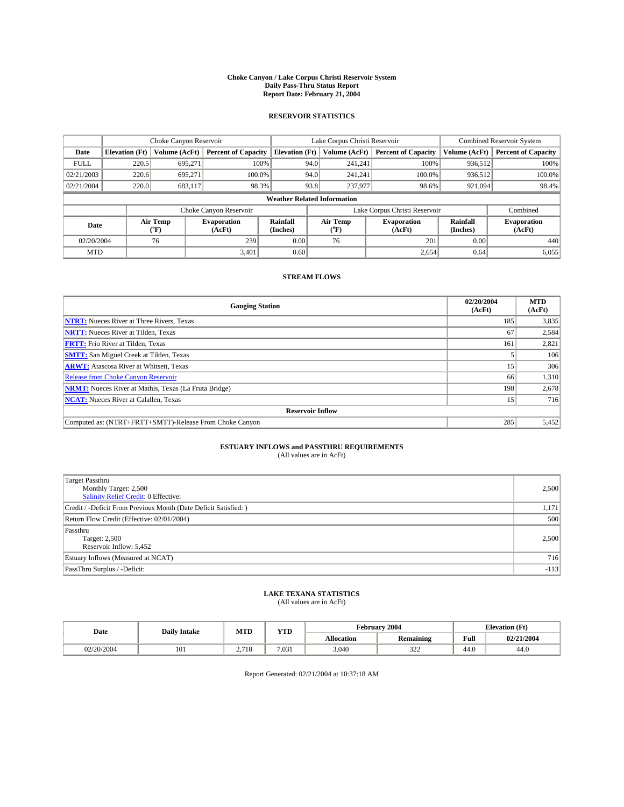### **Choke Canyon / Lake Corpus Christi Reservoir System Daily Pass-Thru Status Report Report Date: February 21, 2004**

### **RESERVOIR STATISTICS**

|             | Choke Canyon Reservoir             |                             |                              | Lake Corpus Christi Reservoir | <b>Combined Reservoir System</b> |                  |                              |                      |                              |
|-------------|------------------------------------|-----------------------------|------------------------------|-------------------------------|----------------------------------|------------------|------------------------------|----------------------|------------------------------|
| Date        | <b>Elevation (Ft)</b>              | Volume (AcFt)               | <b>Percent of Capacity</b>   | <b>Elevation</b> (Ft)         |                                  | Volume (AcFt)    | <b>Percent of Capacity</b>   | Volume (AcFt)        | <b>Percent of Capacity</b>   |
| <b>FULL</b> | 220.5                              | 695,271                     |                              | 100%                          | 94.0                             | 241,241          | 100%                         | 936.512              | 100%                         |
| 02/21/2003  | 220.6                              | 695.271                     | $100.0\%$                    |                               | 94.0                             | 241.241          | $100.0\%$                    | 936.512              | 100.0%                       |
| 02/21/2004  | 220.0                              | 683,117                     | 98.3%                        |                               | 93.8                             | 237,977          | 98.6%                        | 921,094              | 98.4%                        |
|             | <b>Weather Related Information</b> |                             |                              |                               |                                  |                  |                              |                      |                              |
|             |                                    |                             | Choke Canyon Reservoir       |                               | Lake Corpus Christi Reservoir    |                  |                              | Combined             |                              |
| Date        |                                    | Air Temp<br>${}^{\circ}$ F) | <b>Evaporation</b><br>(AcFt) | <b>Rainfall</b><br>(Inches)   |                                  | Air Temp<br>("F) | <b>Evaporation</b><br>(AcFt) | Rainfall<br>(Inches) | <b>Evaporation</b><br>(AcFt) |
| 02/20/2004  |                                    | 76                          | 239                          | 0.00                          |                                  | 76               | 201                          | 0.00                 | 440                          |
| <b>MTD</b>  |                                    |                             | 3,401                        | 0.60                          |                                  |                  | 2,654                        | 0.64                 | 6,055                        |

## **STREAM FLOWS**

| <b>Gauging Station</b>                                       | 02/20/2004<br>(AcFt) | <b>MTD</b><br>(AcFt) |  |  |  |  |  |
|--------------------------------------------------------------|----------------------|----------------------|--|--|--|--|--|
| <b>NTRT:</b> Nueces River at Three Rivers, Texas             | 185                  | 3,835                |  |  |  |  |  |
| <b>NRTT:</b> Nueces River at Tilden, Texas                   | 67                   | 2,584                |  |  |  |  |  |
| <b>FRTT:</b> Frio River at Tilden, Texas                     | 161                  | 2,821                |  |  |  |  |  |
| <b>SMTT:</b> San Miguel Creek at Tilden, Texas               |                      | 106                  |  |  |  |  |  |
| <b>ARWT:</b> Atascosa River at Whitsett, Texas               | 15                   | 306                  |  |  |  |  |  |
| Release from Choke Canyon Reservoir                          | 66                   | 1,310                |  |  |  |  |  |
| <b>NRMT:</b> Nueces River at Mathis, Texas (La Fruta Bridge) | 198                  | 2,678                |  |  |  |  |  |
| <b>NCAT:</b> Nueces River at Calallen, Texas                 | 15                   | 716                  |  |  |  |  |  |
| <b>Reservoir Inflow</b>                                      |                      |                      |  |  |  |  |  |
| Computed as: (NTRT+FRTT+SMTT)-Release From Choke Canyon      | 285                  | 5,452                |  |  |  |  |  |

# **ESTUARY INFLOWS and PASSTHRU REQUIREMENTS**<br>(All values are in AcFt)

| Target Passthru<br>Monthly Target: 2,500<br>Salinity Relief Credit: 0 Effective: | 2,500  |
|----------------------------------------------------------------------------------|--------|
| Credit / -Deficit From Previous Month (Date Deficit Satisfied: )                 | 1,171  |
| Return Flow Credit (Effective: 02/01/2004)                                       | 500    |
| Passthru<br>Target: 2,500<br>Reservoir Inflow: 5,452                             | 2,500  |
| Estuary Inflows (Measured at NCAT)                                               | 716    |
| PassThru Surplus / -Deficit:                                                     | $-113$ |

# **LAKE TEXANA STATISTICS** (All values are in AcFt)

| Date       | <b>Daily Intake</b> | MTD                     | $\mathbf{v}$<br>1 I D |                   | February 2004    | <b>Elevation</b> (Ft)   |            |  |
|------------|---------------------|-------------------------|-----------------------|-------------------|------------------|-------------------------|------------|--|
|            |                     |                         |                       | <b>Allocation</b> | <b>Remaining</b> | Full                    | 02/21/2004 |  |
| 02/20/2004 | $1^{\Omega}$<br>101 | $-1$<br>710<br><u>.</u> | 7,03 <sub>1</sub>     | 3,040             | 222<br>ے ت       | $\overline{AB}$<br>44.U | 44.0       |  |

Report Generated: 02/21/2004 at 10:37:18 AM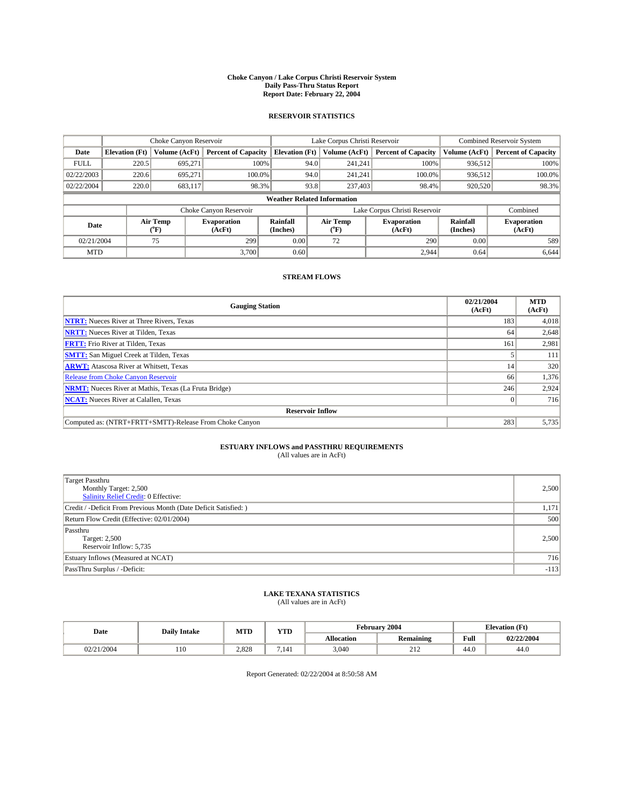### **Choke Canyon / Lake Corpus Christi Reservoir System Daily Pass-Thru Status Report Report Date: February 22, 2004**

### **RESERVOIR STATISTICS**

|             | Choke Canyon Reservoir             |                             |                              | Lake Corpus Christi Reservoir |                               | <b>Combined Reservoir System</b> |                              |                      |                              |  |
|-------------|------------------------------------|-----------------------------|------------------------------|-------------------------------|-------------------------------|----------------------------------|------------------------------|----------------------|------------------------------|--|
| Date        | <b>Elevation (Ft)</b>              | Volume (AcFt)               | <b>Percent of Capacity</b>   | <b>Elevation</b> (Ft)         |                               | Volume (AcFt)                    | <b>Percent of Capacity</b>   | Volume (AcFt)        | <b>Percent of Capacity</b>   |  |
| <b>FULL</b> | 220.5                              | 695,271                     |                              | 100%                          | 94.0                          | 241,241                          | 100%                         | 936.512              | 100%                         |  |
| 02/22/2003  | 220.6                              | 695.271                     | $100.0\%$                    |                               | 94.0                          | 241.241                          | $100.0\%$                    | 936.512              | 100.0%                       |  |
| 02/22/2004  | 220.0                              | 683,117                     | 98.3%                        |                               | 93.8                          | 237,403                          | 98.4%                        | 920,520              | 98.3%                        |  |
|             | <b>Weather Related Information</b> |                             |                              |                               |                               |                                  |                              |                      |                              |  |
|             |                                    |                             | Choke Canyon Reservoir       |                               | Lake Corpus Christi Reservoir |                                  |                              |                      | Combined                     |  |
| Date        |                                    | Air Temp<br>${}^{\circ}$ F) | <b>Evaporation</b><br>(AcFt) | <b>Rainfall</b><br>(Inches)   |                               | Air Temp<br>("F)                 | <b>Evaporation</b><br>(AcFt) | Rainfall<br>(Inches) | <b>Evaporation</b><br>(AcFt) |  |
| 02/21/2004  |                                    | 75                          | 299                          | 0.00                          |                               | 72                               | 290                          | 0.00                 | 589                          |  |
| <b>MTD</b>  |                                    |                             | 3,700                        | 0.60                          |                               |                                  | 2,944                        | 0.64                 | 6,644                        |  |

## **STREAM FLOWS**

| <b>Gauging Station</b>                                       | 02/21/2004<br>(AcFt) | <b>MTD</b><br>(AcFt) |
|--------------------------------------------------------------|----------------------|----------------------|
| <b>NTRT:</b> Nueces River at Three Rivers, Texas             | 183                  | 4,018                |
| <b>NRTT:</b> Nueces River at Tilden, Texas                   | 64                   | 2,648                |
| <b>FRTT:</b> Frio River at Tilden, Texas                     | 161                  | 2,981                |
| <b>SMTT:</b> San Miguel Creek at Tilden, Texas               |                      | 111                  |
| <b>ARWT:</b> Atascosa River at Whitsett, Texas               | 14                   | 320                  |
| Release from Choke Canyon Reservoir                          | 66                   | 1,376                |
| <b>NRMT:</b> Nueces River at Mathis, Texas (La Fruta Bridge) | 246                  | 2,924                |
| <b>NCAT:</b> Nueces River at Calallen, Texas                 |                      | 716                  |
| <b>Reservoir Inflow</b>                                      |                      |                      |
| Computed as: (NTRT+FRTT+SMTT)-Release From Choke Canyon      | 283                  | 5,735                |

# **ESTUARY INFLOWS and PASSTHRU REQUIREMENTS**<br>(All values are in AcFt)

| Target Passthru<br>Monthly Target: 2,500<br>Salinity Relief Credit: 0 Effective: | 2,500  |
|----------------------------------------------------------------------------------|--------|
| Credit / -Deficit From Previous Month (Date Deficit Satisfied: )                 | 1,171  |
| Return Flow Credit (Effective: 02/01/2004)                                       | 500    |
| Passthru<br>Target: 2,500<br>Reservoir Inflow: 5,735                             | 2,500  |
| Estuary Inflows (Measured at NCAT)                                               | 716    |
| PassThru Surplus / -Deficit:                                                     | $-113$ |

# **LAKE TEXANA STATISTICS** (All values are in AcFt)

| Date   | <b>Daily Intake</b> | MTD   | VTF<br>1 I D |                   | February 2004    |                         | <b>Elevation</b> (Ft) |
|--------|---------------------|-------|--------------|-------------------|------------------|-------------------------|-----------------------|
|        |                     |       |              | <b>Allocation</b> | <b>Remaining</b> | Full                    | 02/22/2004            |
| 1/2004 | 110                 | 2,828 | 7.141        | 3,040             | ∠⊥∠              | $\overline{AB}$<br>44.U | 44.0                  |

Report Generated: 02/22/2004 at 8:50:58 AM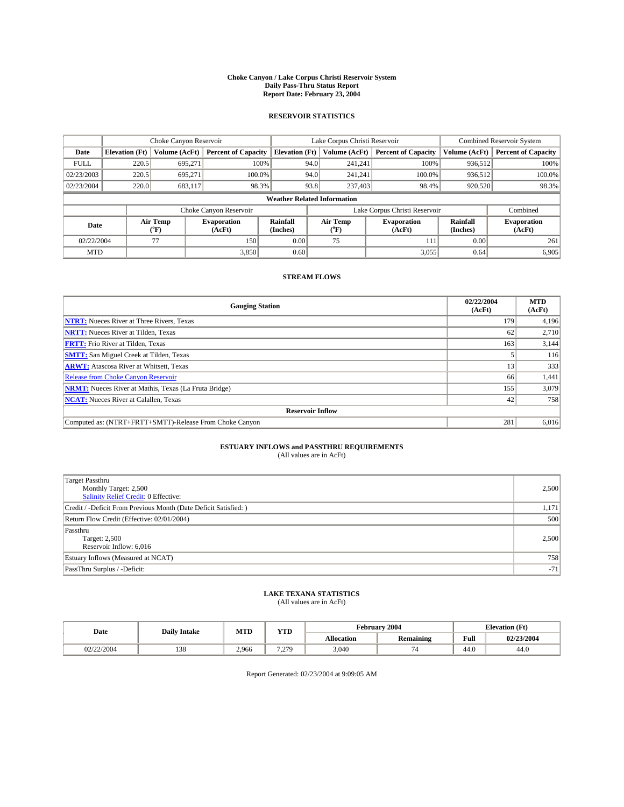### **Choke Canyon / Lake Corpus Christi Reservoir System Daily Pass-Thru Status Report Report Date: February 23, 2004**

### **RESERVOIR STATISTICS**

|             | Choke Canyon Reservoir             |                             | Lake Corpus Christi Reservoir |                             |                               |                  | <b>Combined Reservoir System</b> |                      |                              |  |
|-------------|------------------------------------|-----------------------------|-------------------------------|-----------------------------|-------------------------------|------------------|----------------------------------|----------------------|------------------------------|--|
| Date        | <b>Elevation</b> (Ft)              | Volume (AcFt)               | <b>Percent of Capacity</b>    | <b>Elevation</b> (Ft)       |                               | Volume (AcFt)    | <b>Percent of Capacity</b>       | Volume (AcFt)        | <b>Percent of Capacity</b>   |  |
| <b>FULL</b> | 220.5                              | 695,271                     |                               | 100%                        | 94.0                          | 241,241          | 100%                             | 936.512              | 100%                         |  |
| 02/23/2003  | 220.5                              | 695.271                     | $100.0\%$                     |                             | 94.0                          | 241.241          | $100.0\%$                        | 936.512              | 100.0%                       |  |
| 02/23/2004  | 220.0                              | 683,117                     |                               | 98.3%                       | 93.8                          | 237,403          | 98.4%                            | 920,520              | 98.3%                        |  |
|             | <b>Weather Related Information</b> |                             |                               |                             |                               |                  |                                  |                      |                              |  |
|             |                                    |                             | Choke Canyon Reservoir        |                             | Lake Corpus Christi Reservoir |                  |                                  |                      | Combined                     |  |
| Date        |                                    | Air Temp<br>${}^{\circ}$ F) | <b>Evaporation</b><br>(AcFt)  | <b>Rainfall</b><br>(Inches) |                               | Air Temp<br>("F) | <b>Evaporation</b><br>(AcFt)     | Rainfall<br>(Inches) | <b>Evaporation</b><br>(AcFt) |  |
| 02/22/2004  |                                    | 77                          | 150                           | 0.00                        |                               | 75               | 111                              | 0.00                 | 261                          |  |
| <b>MTD</b>  |                                    |                             | 3,850                         | 0.60                        |                               |                  | 3,055                            | 0.64                 | 6,905                        |  |

## **STREAM FLOWS**

| <b>Gauging Station</b>                                       | 02/22/2004<br>(AcFt) | <b>MTD</b><br>(AcFt) |
|--------------------------------------------------------------|----------------------|----------------------|
| <b>NTRT:</b> Nueces River at Three Rivers, Texas             | 179                  | 4,196                |
| <b>NRTT:</b> Nueces River at Tilden, Texas                   | 62                   | 2,710                |
| <b>FRTT:</b> Frio River at Tilden, Texas                     | 163                  | 3,144                |
| <b>SMTT:</b> San Miguel Creek at Tilden, Texas               |                      | 116                  |
| <b>ARWT:</b> Atascosa River at Whitsett, Texas               | 13                   | 333                  |
| <b>Release from Choke Canyon Reservoir</b>                   | 66                   | 1,441                |
| <b>NRMT:</b> Nueces River at Mathis, Texas (La Fruta Bridge) | 155                  | 3,079                |
| <b>NCAT:</b> Nueces River at Calallen, Texas                 | 42                   | 758                  |
| <b>Reservoir Inflow</b>                                      |                      |                      |
| Computed as: (NTRT+FRTT+SMTT)-Release From Choke Canyon      | 281                  | 6,016                |

# **ESTUARY INFLOWS and PASSTHRU REQUIREMENTS**<br>(All values are in AcFt)

| <b>Target Passthru</b><br>Monthly Target: 2,500<br>Salinity Relief Credit: 0 Effective: | 2,500 |
|-----------------------------------------------------------------------------------------|-------|
| Credit / -Deficit From Previous Month (Date Deficit Satisfied: )                        | 1,171 |
| Return Flow Credit (Effective: 02/01/2004)                                              | 500   |
| Passthru<br>Target: 2,500<br>Reservoir Inflow: 6,016                                    | 2,500 |
| Estuary Inflows (Measured at NCAT)                                                      | 758   |
| PassThru Surplus / -Deficit:                                                            | $-71$ |

# **LAKE TEXANA STATISTICS** (All values are in AcFt)

| Date  | <b>Daily Intake</b> | MTD   | YTD          |                   | <b>February 2004</b>     | <b>Elevation</b> (Ft)   |            |  |
|-------|---------------------|-------|--------------|-------------------|--------------------------|-------------------------|------------|--|
|       |                     |       |              | <b>Allocation</b> | <b>Remaining</b>         | Full                    | 02/23/2004 |  |
| '2004 | $\sim$<br>190       | 2,966 | 7.270<br>$-$ | 3,040             | $\overline{\phantom{0}}$ | $\overline{AB}$<br>44.U | 44.0       |  |

Report Generated: 02/23/2004 at 9:09:05 AM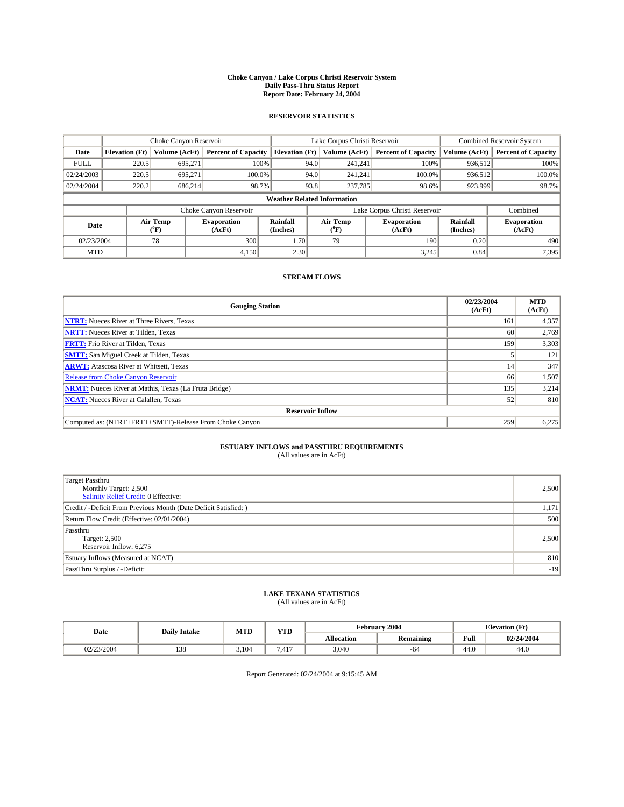### **Choke Canyon / Lake Corpus Christi Reservoir System Daily Pass-Thru Status Report Report Date: February 24, 2004**

### **RESERVOIR STATISTICS**

|             | Choke Canyon Reservoir             |                             | Lake Corpus Christi Reservoir |                             |                               |                  | <b>Combined Reservoir System</b> |                      |                              |  |
|-------------|------------------------------------|-----------------------------|-------------------------------|-----------------------------|-------------------------------|------------------|----------------------------------|----------------------|------------------------------|--|
| Date        | <b>Elevation</b> (Ft)              | Volume (AcFt)               | <b>Percent of Capacity</b>    | <b>Elevation</b> (Ft)       |                               | Volume (AcFt)    | <b>Percent of Capacity</b>       | Volume (AcFt)        | <b>Percent of Capacity</b>   |  |
| <b>FULL</b> | 220.5                              | 695,271                     |                               | 100%                        | 94.0                          | 241,241          | 100%                             | 936.512              | 100%                         |  |
| 02/24/2003  | 220.5                              | 695.271                     | $100.0\%$                     |                             | 94.0                          | 241.241          | $100.0\%$                        | 936.512              | 100.0%                       |  |
| 02/24/2004  | 220.2                              | 686,214                     |                               | 98.7%                       | 93.8                          | 237,785          | 98.6%                            | 923,999              | 98.7%                        |  |
|             | <b>Weather Related Information</b> |                             |                               |                             |                               |                  |                                  |                      |                              |  |
|             |                                    |                             | Choke Canyon Reservoir        |                             | Lake Corpus Christi Reservoir |                  |                                  |                      | Combined                     |  |
| Date        |                                    | Air Temp<br>${}^{\circ}$ F) | <b>Evaporation</b><br>(AcFt)  | <b>Rainfall</b><br>(Inches) |                               | Air Temp<br>("F) | <b>Evaporation</b><br>(AcFt)     | Rainfall<br>(Inches) | <b>Evaporation</b><br>(AcFt) |  |
| 02/23/2004  |                                    | 78                          | 300                           | 1.70                        |                               | 79               | 190                              | 0.20                 | 490                          |  |
| <b>MTD</b>  |                                    |                             | 4,150                         | 2.30                        |                               |                  | 3,245                            | 0.84                 | 7,395                        |  |

## **STREAM FLOWS**

| <b>Gauging Station</b>                                       | 02/23/2004<br>(AcFt) | <b>MTD</b><br>(AcFt) |
|--------------------------------------------------------------|----------------------|----------------------|
| <b>NTRT:</b> Nueces River at Three Rivers, Texas             | 161                  | 4,357                |
| <b>NRTT:</b> Nueces River at Tilden, Texas                   | 60                   | 2.769                |
| <b>FRTT:</b> Frio River at Tilden, Texas                     | 159                  | 3,303                |
| <b>SMTT:</b> San Miguel Creek at Tilden, Texas               |                      | 121                  |
| <b>ARWT:</b> Atascosa River at Whitsett, Texas               | 14                   | 347                  |
| Release from Choke Canyon Reservoir                          | 66                   | 1,507                |
| <b>NRMT:</b> Nueces River at Mathis, Texas (La Fruta Bridge) | 135                  | 3,214                |
| <b>NCAT:</b> Nueces River at Calallen, Texas                 | 52                   | 810                  |
| <b>Reservoir Inflow</b>                                      |                      |                      |
| Computed as: (NTRT+FRTT+SMTT)-Release From Choke Canyon      | 259                  | 6,275                |

# **ESTUARY INFLOWS and PASSTHRU REQUIREMENTS**<br>(All values are in AcFt)

| <b>Target Passthru</b><br>Monthly Target: 2,500<br>Salinity Relief Credit: 0 Effective: | 2,500 |
|-----------------------------------------------------------------------------------------|-------|
| Credit / -Deficit From Previous Month (Date Deficit Satisfied: )                        | 1,171 |
| Return Flow Credit (Effective: 02/01/2004)                                              | 500   |
| Passthru<br>Target: 2,500<br>Reservoir Inflow: 6,275                                    | 2,500 |
| Estuary Inflows (Measured at NCAT)                                                      | 810   |
| PassThru Surplus / -Deficit:                                                            | $-19$ |

# **LAKE TEXANA STATISTICS** (All values are in AcFt)

| Date                              | <b>Daily Intake</b>   | MTD   | $\mathbf{v}$<br>1 I D |                   | February 2004    | <b>Elevation</b> (Ft)   |            |
|-----------------------------------|-----------------------|-------|-----------------------|-------------------|------------------|-------------------------|------------|
|                                   |                       |       |                       | <b>Allocation</b> | <b>Remaining</b> | Full                    | 02/24/2004 |
| /23/2004<br>U <i>41 431 4</i> 004 | 0 <sup>2</sup><br>158 | 3.104 | '.417                 | 3,040             | -04              | $\overline{AB}$<br>44.U | 44.0       |

Report Generated: 02/24/2004 at 9:15:45 AM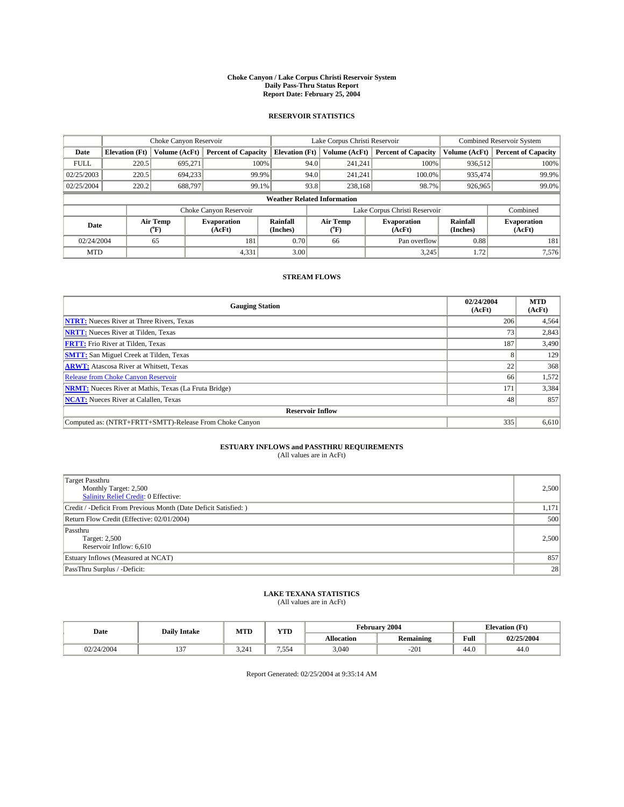### **Choke Canyon / Lake Corpus Christi Reservoir System Daily Pass-Thru Status Report Report Date: February 25, 2004**

### **RESERVOIR STATISTICS**

|             | Choke Canyon Reservoir             |                  |                              | Lake Corpus Christi Reservoir | <b>Combined Reservoir System</b> |                  |                              |                      |                              |  |
|-------------|------------------------------------|------------------|------------------------------|-------------------------------|----------------------------------|------------------|------------------------------|----------------------|------------------------------|--|
| Date        | <b>Elevation</b> (Ft)              | Volume (AcFt)    | <b>Percent of Capacity</b>   | <b>Elevation</b> (Ft)         |                                  | Volume (AcFt)    | <b>Percent of Capacity</b>   | Volume (AcFt)        | <b>Percent of Capacity</b>   |  |
| <b>FULL</b> | 220.5                              | 695,271          |                              | 100%                          | 94.0                             | 241,241          | 100%                         | 936.512              | 100%                         |  |
| 02/25/2003  | 220.5                              | 694,233          |                              | 99.9%                         | 94.0                             | 241.241          | $100.0\%$                    | 935.474              | 99.9%                        |  |
| 02/25/2004  | 220.2                              | 688,797          |                              | 99.1%                         | 93.8                             | 238,168          | 98.7%                        | 926,965              | 99.0%                        |  |
|             | <b>Weather Related Information</b> |                  |                              |                               |                                  |                  |                              |                      |                              |  |
|             |                                    |                  | Choke Canyon Reservoir       |                               | Lake Corpus Christi Reservoir    |                  |                              |                      | Combined                     |  |
| Date        |                                    | Air Temp<br>(°F) | <b>Evaporation</b><br>(AcFt) | Rainfall<br>(Inches)          |                                  | Air Temp<br>("F) | <b>Evaporation</b><br>(AcFt) | Rainfall<br>(Inches) | <b>Evaporation</b><br>(AcFt) |  |
| 02/24/2004  |                                    | 65               | 181                          | 0.70                          |                                  | 66               | Pan overflow                 | 0.88                 | 181                          |  |
| <b>MTD</b>  |                                    |                  | 4,331                        | 3.00                          |                                  |                  | 3,245                        | 1.72                 | 7,576                        |  |

## **STREAM FLOWS**

| <b>Gauging Station</b>                                       | 02/24/2004<br>(AcFt) | <b>MTD</b><br>(AcFt) |
|--------------------------------------------------------------|----------------------|----------------------|
| <b>NTRT:</b> Nueces River at Three Rivers, Texas             | 206                  | 4,564                |
| <b>NRTT:</b> Nueces River at Tilden, Texas                   | 73 <sub>1</sub>      | 2,843                |
| <b>FRTT:</b> Frio River at Tilden, Texas                     | 187                  | 3,490                |
| <b>SMTT:</b> San Miguel Creek at Tilden, Texas               |                      | 129                  |
| <b>ARWT:</b> Atascosa River at Whitsett, Texas               | 22 <sub>1</sub>      | 368                  |
| <b>Release from Choke Canyon Reservoir</b>                   | 66                   | 1,572                |
| <b>NRMT:</b> Nueces River at Mathis, Texas (La Fruta Bridge) | 171                  | 3,384                |
| <b>NCAT:</b> Nueces River at Calallen, Texas                 | 48                   | 857                  |
| <b>Reservoir Inflow</b>                                      |                      |                      |
| Computed as: (NTRT+FRTT+SMTT)-Release From Choke Canyon      | 335                  | 6,610                |

# **ESTUARY INFLOWS and PASSTHRU REQUIREMENTS**<br>(All values are in AcFt)

| <b>Target Passthru</b><br>Monthly Target: 2,500<br>Salinity Relief Credit: 0 Effective: | 2,500 |
|-----------------------------------------------------------------------------------------|-------|
| Credit / -Deficit From Previous Month (Date Deficit Satisfied: )                        | 1,171 |
| Return Flow Credit (Effective: 02/01/2004)                                              | 500   |
| Passthru<br>Target: 2,500<br>Reservoir Inflow: 6,610                                    | 2,500 |
| Estuary Inflows (Measured at NCAT)                                                      | 857   |
| PassThru Surplus / -Deficit:                                                            | 28    |

# **LAKE TEXANA STATISTICS** (All values are in AcFt)

| Date       | <b>Daily Intake</b> | <b>MTD</b>                  | YTD   |                   | <b>February 2004</b> |                         | <b>Elevation</b> (Ft) |
|------------|---------------------|-----------------------------|-------|-------------------|----------------------|-------------------------|-----------------------|
|            |                     |                             |       | <b>Allocation</b> | <b>Remaining</b>     | Full                    | 02/25/2004            |
| 02/24/2004 | $\sim$<br>. .       | າ າ 41<br>5.24 <sub>1</sub> | 7.554 | 3,040             | $-201$               | $\overline{AB}$<br>44.U | 44.0                  |

Report Generated: 02/25/2004 at 9:35:14 AM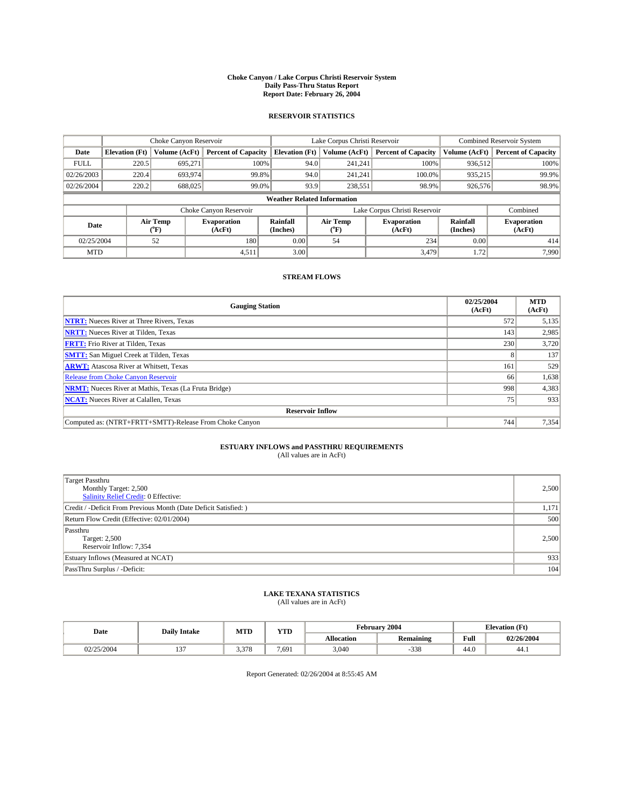### **Choke Canyon / Lake Corpus Christi Reservoir System Daily Pass-Thru Status Report Report Date: February 26, 2004**

### **RESERVOIR STATISTICS**

|             | Choke Canyon Reservoir             |                             |                              | Lake Corpus Christi Reservoir | <b>Combined Reservoir System</b> |                  |                              |                      |                              |
|-------------|------------------------------------|-----------------------------|------------------------------|-------------------------------|----------------------------------|------------------|------------------------------|----------------------|------------------------------|
| Date        | <b>Elevation</b> (Ft)              | Volume (AcFt)               | <b>Percent of Capacity</b>   | <b>Elevation</b> (Ft)         |                                  | Volume (AcFt)    | <b>Percent of Capacity</b>   | Volume (AcFt)        | <b>Percent of Capacity</b>   |
| <b>FULL</b> | 220.5                              | 695,271                     |                              | 100%                          | 94.0                             | 241,241          | 100%                         | 936.512              | 100%                         |
| 02/26/2003  | 220.4                              | 693,974                     |                              | 99.8%                         | 94.0                             | 241.241          | $100.0\%$                    | 935,215              | 99.9%                        |
| 02/26/2004  | 220.2                              | 688,025                     |                              | 99.0%                         | 93.9                             | 238,551          | 98.9%                        | 926,576              | 98.9%                        |
|             | <b>Weather Related Information</b> |                             |                              |                               |                                  |                  |                              |                      |                              |
|             |                                    |                             | Choke Canyon Reservoir       |                               | Lake Corpus Christi Reservoir    |                  |                              |                      | Combined                     |
| Date        |                                    | Air Temp<br>${}^{\circ}$ F) | <b>Evaporation</b><br>(AcFt) | <b>Rainfall</b><br>(Inches)   |                                  | Air Temp<br>("F) | <b>Evaporation</b><br>(AcFt) | Rainfall<br>(Inches) | <b>Evaporation</b><br>(AcFt) |
| 02/25/2004  |                                    | 52                          | 180                          | 0.00                          |                                  | 54               | 234                          | 0.00                 | 414                          |
| <b>MTD</b>  |                                    |                             | 4,511                        | 3.00                          |                                  |                  | 3,479                        | 1.72                 | 7,990                        |

## **STREAM FLOWS**

| <b>Gauging Station</b>                                       | 02/25/2004<br>(AcFt) | <b>MTD</b><br>(AcFt) |
|--------------------------------------------------------------|----------------------|----------------------|
| <b>NTRT:</b> Nueces River at Three Rivers, Texas             | 572                  | 5,135                |
| <b>NRTT:</b> Nueces River at Tilden, Texas                   | 143                  | 2,985                |
| <b>FRTT:</b> Frio River at Tilden, Texas                     | 230                  | 3,720                |
| <b>SMTT:</b> San Miguel Creek at Tilden, Texas               |                      | 137                  |
| <b>ARWT:</b> Atascosa River at Whitsett, Texas               | 161                  | 529                  |
| <b>Release from Choke Canyon Reservoir</b>                   | 66                   | 1,638                |
| <b>NRMT:</b> Nueces River at Mathis, Texas (La Fruta Bridge) | 998                  | 4,383                |
| <b>NCAT:</b> Nueces River at Calallen, Texas                 | 75                   | 933                  |
| <b>Reservoir Inflow</b>                                      |                      |                      |
| Computed as: (NTRT+FRTT+SMTT)-Release From Choke Canyon      | 744                  | 7,354                |

# **ESTUARY INFLOWS and PASSTHRU REQUIREMENTS**<br>(All values are in AcFt)

| <b>Target Passthru</b><br>Monthly Target: 2,500<br>Salinity Relief Credit: 0 Effective: | 2,500 |
|-----------------------------------------------------------------------------------------|-------|
| Credit / -Deficit From Previous Month (Date Deficit Satisfied: )                        | 1,171 |
| Return Flow Credit (Effective: 02/01/2004)                                              | 500   |
| Passthru<br>Target: 2,500<br>Reservoir Inflow: 7,354                                    | 2,500 |
| Estuary Inflows (Measured at NCAT)                                                      | 933   |
| PassThru Surplus / -Deficit:                                                            | 104   |

# **LAKE TEXANA STATISTICS** (All values are in AcFt)

| Date                | <b>Daily Intake</b> | <b>MTD</b>       | $\mathbf{v}$<br>1 I D |                   | February 2004    | <b>Elevation</b> (Ft)   |            |
|---------------------|---------------------|------------------|-----------------------|-------------------|------------------|-------------------------|------------|
|                     |                     |                  |                       | <b>Allocation</b> | <b>Remaining</b> | Full                    | 02/26/2004 |
| 125/2004<br>$-00 +$ | $\sim$<br>، ب       | 272<br>0 ، 2 ، 3 | 7.691                 | 3,040             | $-338$           | $\overline{AB}$<br>44.U | 44.1       |

Report Generated: 02/26/2004 at 8:55:45 AM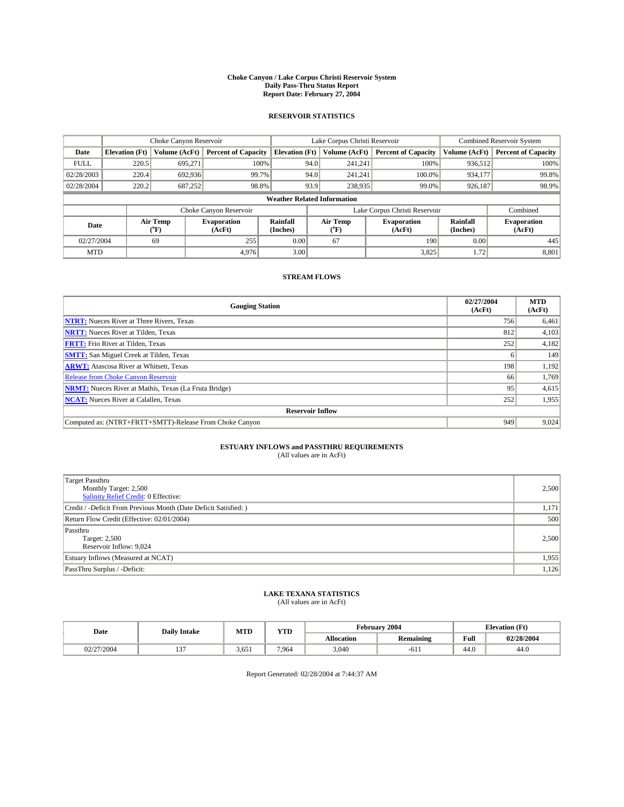### **Choke Canyon / Lake Corpus Christi Reservoir System Daily Pass-Thru Status Report Report Date: February 27, 2004**

### **RESERVOIR STATISTICS**

|             | Choke Canyon Reservoir |                  |                              | Lake Corpus Christi Reservoir      | <b>Combined Reservoir System</b> |                  |                              |                      |                              |
|-------------|------------------------|------------------|------------------------------|------------------------------------|----------------------------------|------------------|------------------------------|----------------------|------------------------------|
| Date        | <b>Elevation</b> (Ft)  | Volume (AcFt)    | <b>Percent of Capacity</b>   | <b>Elevation (Ft)</b>              |                                  | Volume (AcFt)    | <b>Percent of Capacity</b>   | Volume (AcFt)        | <b>Percent of Capacity</b>   |
| <b>FULL</b> | 220.5                  | 695,271          |                              | 100%                               | 94.0                             | 241,241          | 100%                         | 936.512              | 100%                         |
| 02/28/2003  | 220.4                  | 692.936          | 99.7%                        |                                    | 94.0                             | 241.241          | $100.0\%$                    | 934.177              | 99.8%                        |
| 02/28/2004  | 220.2                  | 687,252          | 98.8%                        |                                    | 93.9                             | 238,935          | 99.0%                        | 926,187              | 98.9%                        |
|             |                        |                  |                              | <b>Weather Related Information</b> |                                  |                  |                              |                      |                              |
|             |                        |                  | Choke Canyon Reservoir       |                                    | Lake Corpus Christi Reservoir    |                  |                              |                      | Combined                     |
| Date        |                        | Air Temp<br>(°F) | <b>Evaporation</b><br>(AcFt) | <b>Rainfall</b><br>(Inches)        |                                  | Air Temp<br>("F) | <b>Evaporation</b><br>(AcFt) | Rainfall<br>(Inches) | <b>Evaporation</b><br>(AcFt) |
| 02/27/2004  |                        | 69               | 255                          | 0.00                               |                                  | 67               | 190                          | 0.00                 | 445                          |
| <b>MTD</b>  |                        |                  | 4,976                        | 3.00                               |                                  |                  | 3,825                        | 1.72                 | 8,801                        |

## **STREAM FLOWS**

| <b>Gauging Station</b>                                       | 02/27/2004<br>(AcFt) | <b>MTD</b><br>(AcFt) |
|--------------------------------------------------------------|----------------------|----------------------|
| <b>NTRT:</b> Nueces River at Three Rivers, Texas             | 756                  | 6,461                |
| <b>NRTT:</b> Nueces River at Tilden, Texas                   | 812                  | 4,103                |
| <b>FRTT:</b> Frio River at Tilden, Texas                     | 252                  | 4,182                |
| <b>SMTT:</b> San Miguel Creek at Tilden, Texas               |                      | 149                  |
| <b>ARWT:</b> Atascosa River at Whitsett, Texas               | 198                  | 1,192                |
| <b>Release from Choke Canyon Reservoir</b>                   | 66                   | 1,769                |
| <b>NRMT:</b> Nueces River at Mathis, Texas (La Fruta Bridge) | 95                   | 4,615                |
| <b>NCAT:</b> Nueces River at Calallen, Texas                 | 252                  | 1,955                |
| <b>Reservoir Inflow</b>                                      |                      |                      |
| Computed as: (NTRT+FRTT+SMTT)-Release From Choke Canyon      | 949                  | 9,024                |

# **ESTUARY INFLOWS and PASSTHRU REQUIREMENTS**<br>(All values are in AcFt)

| Target Passthru<br>Monthly Target: 2,500<br>Salinity Relief Credit: 0 Effective: | 2,500 |
|----------------------------------------------------------------------------------|-------|
| Credit / -Deficit From Previous Month (Date Deficit Satisfied: )                 | 1,171 |
| Return Flow Credit (Effective: 02/01/2004)                                       | 500   |
| Passthru<br>Target: 2,500<br>Reservoir Inflow: 9,024                             | 2,500 |
| Estuary Inflows (Measured at NCAT)                                               | 1,955 |
| PassThru Surplus / -Deficit:                                                     | 1,126 |

# **LAKE TEXANA STATISTICS** (All values are in AcFt)

| Date               | <b>Daily Intake</b> | MTD   | $\mathbf{v}$<br>1 I D |                   | February 2004    |                         | <b>Elevation</b> (Ft) |
|--------------------|---------------------|-------|-----------------------|-------------------|------------------|-------------------------|-----------------------|
|                    |                     |       |                       | <b>Allocation</b> | <b>Remaining</b> | Full                    | 02/28/2004            |
| 127/2004<br>$-004$ | $\sim$<br>، ب       | 3.651 | 7.964                 | 3,040             | $-611$           | $\overline{AB}$<br>44.U | 44.0                  |

Report Generated: 02/28/2004 at 7:44:37 AM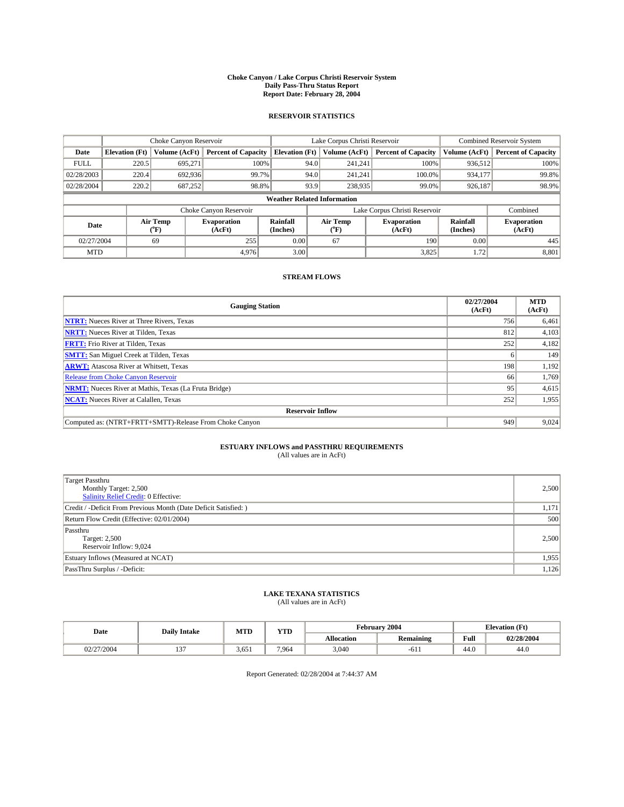### **Choke Canyon / Lake Corpus Christi Reservoir System Daily Pass-Thru Status Report Report Date: February 28, 2004**

### **RESERVOIR STATISTICS**

|             | Choke Canyon Reservoir             |                             |                              |                             | Lake Corpus Christi Reservoir |                  |                               |                      | <b>Combined Reservoir System</b> |  |  |
|-------------|------------------------------------|-----------------------------|------------------------------|-----------------------------|-------------------------------|------------------|-------------------------------|----------------------|----------------------------------|--|--|
| Date        | <b>Elevation</b> (Ft)              | Volume (AcFt)               | <b>Percent of Capacity</b>   | <b>Elevation</b> (Ft)       |                               | Volume (AcFt)    | <b>Percent of Capacity</b>    | Volume (AcFt)        | <b>Percent of Capacity</b>       |  |  |
| <b>FULL</b> | 220.5                              | 695,271                     |                              | 100%                        | 94.0                          | 241,241          | 100%                          | 936.512              | 100%                             |  |  |
| 02/28/2003  | 220.4                              | 692,936                     | 99.7%                        |                             | 94.0                          | 241.241          | $100.0\%$                     | 934.177              | 99.8%                            |  |  |
| 02/28/2004  | 220.2                              | 687,252                     | 98.8%                        |                             | 93.9                          | 238,935          | 99.0%                         | 926,187              | 98.9%                            |  |  |
|             | <b>Weather Related Information</b> |                             |                              |                             |                               |                  |                               |                      |                                  |  |  |
|             |                                    |                             | Choke Canyon Reservoir       |                             |                               |                  | Lake Corpus Christi Reservoir |                      | Combined                         |  |  |
| Date        |                                    | Air Temp<br>${}^{\circ}$ F) | <b>Evaporation</b><br>(AcFt) | <b>Rainfall</b><br>(Inches) |                               | Air Temp<br>("F) | <b>Evaporation</b><br>(AcFt)  | Rainfall<br>(Inches) | <b>Evaporation</b><br>(AcFt)     |  |  |
| 02/27/2004  |                                    | 69                          | 255                          | 0.00                        |                               | 67               | 190                           | 0.00                 | 445                              |  |  |
| <b>MTD</b>  |                                    |                             | 4,976                        | 3.00                        |                               |                  | 3,825                         | 1.72                 | 8,801                            |  |  |

## **STREAM FLOWS**

| <b>Gauging Station</b>                                       | 02/27/2004<br>(AcFt) | <b>MTD</b><br>(AcFt) |  |  |  |  |
|--------------------------------------------------------------|----------------------|----------------------|--|--|--|--|
| <b>NTRT:</b> Nueces River at Three Rivers, Texas             | 756                  | 6,461                |  |  |  |  |
| <b>NRTT:</b> Nueces River at Tilden, Texas                   | 812                  | 4,103                |  |  |  |  |
| <b>FRTT:</b> Frio River at Tilden, Texas                     | 252                  | 4,182                |  |  |  |  |
| <b>SMTT:</b> San Miguel Creek at Tilden, Texas               |                      | 149                  |  |  |  |  |
| <b>ARWT:</b> Atascosa River at Whitsett, Texas               | 198                  | 1,192                |  |  |  |  |
| <b>Release from Choke Canyon Reservoir</b>                   | 66                   | 1,769                |  |  |  |  |
| <b>NRMT:</b> Nueces River at Mathis, Texas (La Fruta Bridge) | 95                   | 4,615                |  |  |  |  |
| <b>NCAT:</b> Nueces River at Calallen, Texas                 | 252                  | 1,955                |  |  |  |  |
| <b>Reservoir Inflow</b>                                      |                      |                      |  |  |  |  |
| Computed as: (NTRT+FRTT+SMTT)-Release From Choke Canyon      | 949                  | 9,024                |  |  |  |  |

# **ESTUARY INFLOWS and PASSTHRU REQUIREMENTS**<br>(All values are in AcFt)

| <b>Target Passthru</b><br>Monthly Target: 2,500<br>Salinity Relief Credit: 0 Effective: | 2,500 |
|-----------------------------------------------------------------------------------------|-------|
| Credit / -Deficit From Previous Month (Date Deficit Satisfied: )                        | 1,171 |
| Return Flow Credit (Effective: 02/01/2004)                                              | 500   |
| Passthru<br>Target: 2,500<br>Reservoir Inflow: 9,024                                    | 2,500 |
| Estuary Inflows (Measured at NCAT)                                                      | 1,955 |
| PassThru Surplus / -Deficit:                                                            | 1,126 |

# **LAKE TEXANA STATISTICS** (All values are in AcFt)

| Date       | <b>Daily Intake</b> | MTD   | <b>WTD</b><br>1 I.D | . ebruarv         | 2004             |      | <b>Elevation</b> (Ft) |
|------------|---------------------|-------|---------------------|-------------------|------------------|------|-----------------------|
|            |                     |       |                     | <b>Allocation</b> | <b>Remaining</b> | Full | 02/28/2004            |
| 02/27/2004 | $\sim$              | 3.651 | 7.964               | 3,040             | $-01.$           | 44.U | 44.U                  |

Report Generated: 02/28/2004 at 7:44:37 AM